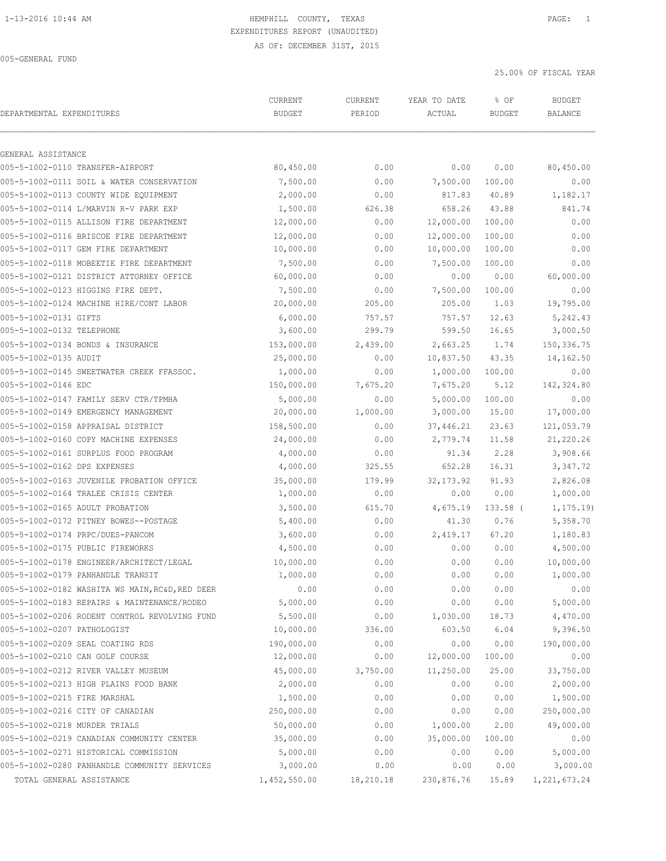|                                                        | CURRENT       | CURRENT   | YEAR TO DATE | % OF          | <b>BUDGET</b>  |
|--------------------------------------------------------|---------------|-----------|--------------|---------------|----------------|
| DEPARTMENTAL EXPENDITURES                              | <b>BUDGET</b> | PERIOD    | ACTUAL       | <b>BUDGET</b> | <b>BALANCE</b> |
|                                                        |               |           |              |               |                |
| GENERAL ASSISTANCE<br>005-5-1002-0110 TRANSFER-AIRPORT | 80,450.00     | 0.00      | 0.00         | 0.00          | 80,450.00      |
| 005-5-1002-0111 SOIL & WATER CONSERVATION              | 7,500.00      | 0.00      | 7,500.00     | 100.00        | 0.00           |
| 005-5-1002-0113 COUNTY WIDE EQUIPMENT                  | 2,000.00      | 0.00      | 817.83       | 40.89         | 1,182.17       |
| 005-5-1002-0114 L/MARVIN R-V PARK EXP                  | 1,500.00      | 626.38    | 658.26       | 43.88         | 841.74         |
| 005-5-1002-0115 ALLISON FIRE DEPARTMENT                | 12,000.00     | 0.00      | 12,000.00    | 100.00        | 0.00           |
| 005-5-1002-0116 BRISCOE FIRE DEPARTMENT                | 12,000.00     | 0.00      | 12,000.00    | 100.00        | 0.00           |
| 005-5-1002-0117 GEM FIRE DEPARTMENT                    | 10,000.00     | 0.00      | 10,000.00    | 100.00        | 0.00           |
| 005-5-1002-0118 MOBEETIE FIRE DEPARTMENT               | 7,500.00      | 0.00      | 7,500.00     | 100.00        | 0.00           |
| 005-5-1002-0121 DISTRICT ATTORNEY OFFICE               | 60,000.00     | 0.00      | 0.00         | 0.00          | 60,000.00      |
| 005-5-1002-0123 HIGGINS FIRE DEPT.                     | 7,500.00      | 0.00      | 7,500.00     | 100.00        | 0.00           |
| 005-5-1002-0124 MACHINE HIRE/CONT LABOR                | 20,000.00     | 205.00    | 205.00       | 1.03          | 19,795.00      |
| 005-5-1002-0131 GIFTS                                  | 6,000.00      | 757.57    | 757.57       | 12.63         | 5,242.43       |
| 005-5-1002-0132 TELEPHONE                              | 3,600.00      | 299.79    | 599.50       | 16.65         | 3,000.50       |
| 005-5-1002-0134 BONDS & INSURANCE                      | 153,000.00    | 2,439.00  | 2,663.25     | 1.74          | 150, 336.75    |
| 005-5-1002-0135 AUDIT                                  | 25,000.00     | 0.00      | 10,837.50    | 43.35         | 14,162.50      |
| 005-5-1002-0145 SWEETWATER CREEK FFASSOC.              | 1,000.00      | 0.00      | 1,000.00     | 100.00        | 0.00           |
| 005-5-1002-0146 EDC                                    | 150,000.00    | 7,675.20  | 7,675.20     | 5.12          | 142,324.80     |
| 005-5-1002-0147 FAMILY SERV CTR/TPMHA                  | 5,000.00      | 0.00      | 5,000.00     | 100.00        | 0.00           |
| 005-5-1002-0149 EMERGENCY MANAGEMENT                   | 20,000.00     | 1,000.00  | 3,000.00     | 15.00         | 17,000.00      |
| 005-5-1002-0158 APPRAISAL DISTRICT                     | 158,500.00    | 0.00      | 37,446.21    | 23.63         | 121,053.79     |
| 005-5-1002-0160 COPY MACHINE EXPENSES                  | 24,000.00     | 0.00      | 2,779.74     | 11.58         | 21,220.26      |
| 005-5-1002-0161 SURPLUS FOOD PROGRAM                   | 4,000.00      | 0.00      | 91.34        | 2.28          | 3,908.66       |
| 005-5-1002-0162 DPS EXPENSES                           | 4,000.00      | 325.55    | 652.28       | 16.31         | 3,347.72       |
| 005-5-1002-0163 JUVENILE PROBATION OFFICE              | 35,000.00     | 179.99    | 32, 173.92   | 91.93         | 2,826.08       |
| 005-5-1002-0164 TRALEE CRISIS CENTER                   | 1,000.00      | 0.00      | 0.00         | 0.00          | 1,000.00       |
| 005-5-1002-0165 ADULT PROBATION                        | 3,500.00      | 615.70    | 4,675.19     | $133.58$ (    | 1, 175.19      |
| 005-5-1002-0172 PITNEY BOWES--POSTAGE                  | 5,400.00      | 0.00      | 41.30        | 0.76          | 5,358.70       |
| 005-5-1002-0174 PRPC/DUES-PANCOM                       | 3,600.00      | 0.00      | 2,419.17     | 67.20         | 1,180.83       |
| 005-5-1002-0175 PUBLIC FIREWORKS                       | 4,500.00      | 0.00      | 0.00         | 0.00          | 4,500.00       |
| 005-5-1002-0178 ENGINEER/ARCHITECT/LEGAL               | 10,000.00     | 0.00      | 0.00         | 0.00          | 10,000.00      |
| 005-5-1002-0179 PANHANDLE TRANSIT                      | 1,000.00      | 0.00      | 0.00         | 0.00          | 1,000.00       |
| 005-5-1002-0182 WASHITA WS MAIN, RC&D, RED DEER        | 0.00          | 0.00      | 0.00         | 0.00          | 0.00           |
| 005-5-1002-0183 REPAIRS & MAINTENANCE/RODEO            | 5,000.00      | 0.00      | 0.00         | 0.00          | 5,000.00       |
| 005-5-1002-0206 RODENT CONTROL REVOLVING FUND          | 5,500.00      | 0.00      | 1,030.00     | 18.73         | 4,470.00       |
| 005-5-1002-0207 PATHOLOGIST                            | 10,000.00     | 336.00    | 603.50       | 6.04          | 9,396.50       |
| 005-5-1002-0209 SEAL COATING RDS                       | 190,000.00    | 0.00      | 0.00         | 0.00          | 190,000.00     |
| 005-5-1002-0210 CAN GOLF COURSE                        | 12,000.00     | 0.00      | 12,000.00    | 100.00        | 0.00           |
| 005-5-1002-0212 RIVER VALLEY MUSEUM                    | 45,000.00     | 3,750.00  | 11,250.00    | 25.00         | 33,750.00      |
| 005-5-1002-0213 HIGH PLAINS FOOD BANK                  | 2,000.00      | 0.00      | 0.00         | 0.00          | 2,000.00       |
| 005-5-1002-0215 FIRE MARSHAL                           | 1,500.00      | 0.00      | 0.00         | 0.00          | 1,500.00       |
| 005-5-1002-0216 CITY OF CANADIAN                       | 250,000.00    | 0.00      | 0.00         | 0.00          | 250,000.00     |
| 005-5-1002-0218 MURDER TRIALS                          | 50,000.00     | 0.00      | 1,000.00     | 2.00          | 49,000.00      |
| 005-5-1002-0219 CANADIAN COMMUNITY CENTER              | 35,000.00     | 0.00      | 35,000.00    | 100.00        | 0.00           |
| 005-5-1002-0271 HISTORICAL COMMISSION                  | 5,000.00      | 0.00      | 0.00         | 0.00          | 5,000.00       |
| 005-5-1002-0280 PANHANDLE COMMUNITY SERVICES           | 3,000.00      | 0.00      | 0.00         | 0.00          | 3,000.00       |
| TOTAL GENERAL ASSISTANCE                               | 1,452,550.00  | 18,210.18 | 230,876.76   | 15.89         | 1, 221, 673.24 |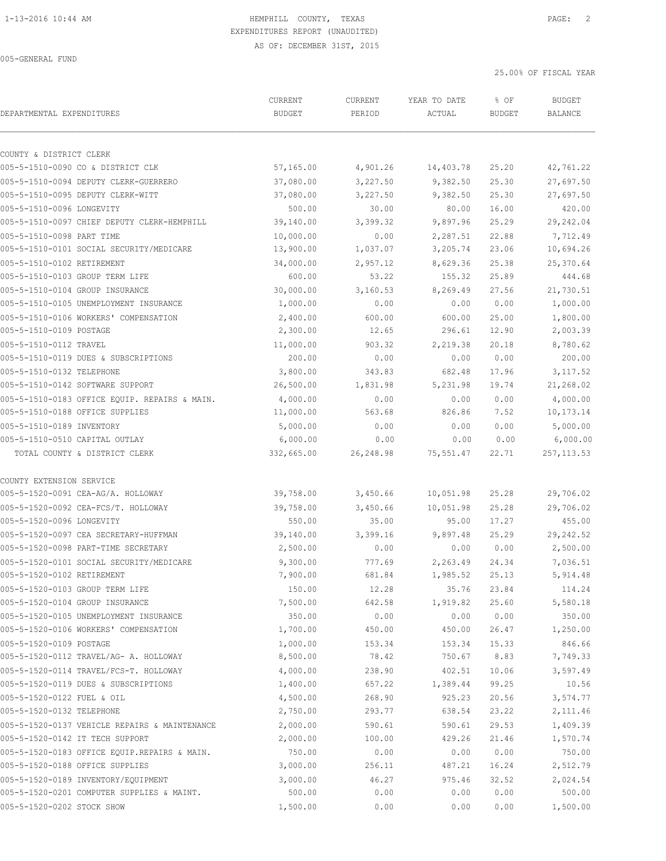| DEPARTMENTAL EXPENDITURES      |                                               | CURRENT<br><b>BUDGET</b> | CURRENT<br>PERIOD | YEAR TO DATE<br>ACTUAL | % OF<br><b>BUDGET</b> | <b>BUDGET</b><br>BALANCE |
|--------------------------------|-----------------------------------------------|--------------------------|-------------------|------------------------|-----------------------|--------------------------|
|                                |                                               |                          |                   |                        |                       |                          |
| COUNTY & DISTRICT CLERK        |                                               |                          |                   |                        |                       |                          |
|                                | 005-5-1510-0090 CO & DISTRICT CLK             | 57,165.00                | 4,901.26          | 14,403.78              | 25.20                 | 42,761.22                |
|                                | 005-5-1510-0094 DEPUTY CLERK-GUERRERO         | 37,080.00                | 3,227.50          | 9,382.50               | 25.30                 | 27,697.50<br>27,697.50   |
| 005-5-1510-0096 LONGEVITY      | 005-5-1510-0095 DEPUTY CLERK-WITT             | 37,080.00                | 3,227.50          | 9,382.50               | 25.30                 | 420.00                   |
|                                |                                               | 500.00                   | 30.00             | 80.00<br>9,897.96      | 16.00                 | 29,242.04                |
|                                | 005-5-1510-0097 CHIEF DEPUTY CLERK-HEMPHILL   | 39,140.00                | 3,399.32          |                        | 25.29                 |                          |
| 005-5-1510-0098 PART TIME      |                                               | 10,000.00                | 0.00              | 2,287.51               | 22.88                 | 7,712.49                 |
|                                | 005-5-1510-0101 SOCIAL SECURITY/MEDICARE      | 13,900.00<br>34,000.00   | 1,037.07          | 3,205.74               | 23.06                 | 10,694.26                |
| 005-5-1510-0102 RETIREMENT     |                                               |                          | 2,957.12          | 8,629.36               | 25.38                 | 25,370.64                |
|                                | 005-5-1510-0103 GROUP TERM LIFE               | 600.00                   | 53.22             | 155.32                 | 25.89                 | 444.68                   |
|                                | 005-5-1510-0104 GROUP INSURANCE               | 30,000.00                | 3,160.53          | 8,269.49               | 27.56                 | 21,730.51                |
|                                | 005-5-1510-0105 UNEMPLOYMENT INSURANCE        | 1,000.00                 | 0.00              | 0.00                   | 0.00                  | 1,000.00                 |
|                                | 005-5-1510-0106 WORKERS' COMPENSATION         | 2,400.00                 | 600.00            | 600.00                 | 25.00                 | 1,800.00                 |
| 005-5-1510-0109 POSTAGE        |                                               | 2,300.00                 | 12.65             | 296.61                 | 12.90                 | 2,003.39                 |
| 005-5-1510-0112 TRAVEL         |                                               | 11,000.00<br>200.00      | 903.32            | 2,219.38               | 20.18<br>0.00         | 8,780.62<br>200.00       |
|                                | 005-5-1510-0119 DUES & SUBSCRIPTIONS          |                          | 0.00              | 0.00                   |                       |                          |
| 005-5-1510-0132 TELEPHONE      |                                               | 3,800.00                 | 343.83            | 682.48                 | 17.96                 | 3,117.52                 |
|                                | 005-5-1510-0142 SOFTWARE SUPPORT              | 26,500.00                | 1,831.98          | 5,231.98               | 19.74                 | 21,268.02                |
|                                | 005-5-1510-0183 OFFICE EOUIP. REPAIRS & MAIN. | 4,000.00                 | 0.00              | 0.00                   | 0.00                  | 4,000.00                 |
|                                | 005-5-1510-0188 OFFICE SUPPLIES               | 11,000.00                | 563.68            | 826.86                 | 7.52                  | 10,173.14                |
| 005-5-1510-0189 INVENTORY      |                                               | 5,000.00                 | 0.00              | 0.00                   | 0.00                  | 5,000.00                 |
| 005-5-1510-0510 CAPITAL OUTLAY |                                               | 6,000.00                 | 0.00              | 0.00                   | 0.00                  | 6,000.00                 |
|                                | TOTAL COUNTY & DISTRICT CLERK                 | 332,665.00               | 26,248.98         | 75,551.47              | 22.71                 | 257, 113.53              |
| COUNTY EXTENSION SERVICE       |                                               |                          |                   |                        |                       |                          |
|                                | 005-5-1520-0091 CEA-AG/A. HOLLOWAY            | 39,758.00                | 3,450.66          | 10,051.98              | 25.28                 | 29,706.02                |
|                                | 005-5-1520-0092 CEA-FCS/T. HOLLOWAY           | 39,758.00                | 3,450.66          | 10,051.98              | 25.28                 | 29,706.02                |
| 005-5-1520-0096 LONGEVITY      |                                               | 550.00                   | 35.00             | 95.00                  | 17.27                 | 455.00                   |
|                                | 005-5-1520-0097 CEA SECRETARY-HUFFMAN         | 39,140.00                | 3,399.16          | 9,897.48               | 25.29                 | 29, 242.52               |
|                                | 005-5-1520-0098 PART-TIME SECRETARY           | 2,500.00                 | 0.00              | 0.00                   | 0.00                  | 2,500.00                 |
|                                | 005-5-1520-0101 SOCIAL SECURITY/MEDICARE      | 9,300.00                 | 777.69            | 2,263.49               | 24.34                 | 7,036.51                 |
| 005-5-1520-0102 RETIREMENT     |                                               | 7,900.00                 | 681.84            | 1,985.52               | 25.13                 | 5,914.48                 |
|                                | 005-5-1520-0103 GROUP TERM LIFE               | 150.00                   | 12.28             | 35.76                  | 23.84                 | 114.24                   |
|                                | 005-5-1520-0104 GROUP INSURANCE               | 7,500.00                 | 642.58            | 1,919.82               | 25.60                 | 5,580.18                 |
|                                | 005-5-1520-0105 UNEMPLOYMENT INSURANCE        | 350.00                   | 0.00              | 0.00                   | 0.00                  | 350.00                   |
|                                | 005-5-1520-0106 WORKERS' COMPENSATION         | 1,700.00                 | 450.00            | 450.00                 | 26.47                 | 1,250.00                 |
| 005-5-1520-0109 POSTAGE        |                                               | 1,000.00                 | 153.34            | 153.34                 | 15.33                 | 846.66                   |
|                                | 005-5-1520-0112 TRAVEL/AG- A. HOLLOWAY        | 8,500.00                 | 78.42             | 750.67                 | 8.83                  | 7,749.33                 |
|                                | 005-5-1520-0114 TRAVEL/FCS-T. HOLLOWAY        | 4,000.00                 | 238.90            | 402.51                 | 10.06                 | 3,597.49                 |
|                                | 005-5-1520-0119 DUES & SUBSCRIPTIONS          | 1,400.00                 | 657.22            | 1,389.44               | 99.25                 | 10.56                    |
| 005-5-1520-0122 FUEL & OIL     |                                               | 4,500.00                 | 268.90            | 925.23                 | 20.56                 | 3,574.77                 |
| 005-5-1520-0132 TELEPHONE      |                                               | 2,750.00                 | 293.77            | 638.54                 | 23.22                 | 2,111.46                 |
|                                | 005-5-1520-0137 VEHICLE REPAIRS & MAINTENANCE | 2,000.00                 | 590.61            | 590.61                 | 29.53                 | 1,409.39                 |
|                                | 005-5-1520-0142 IT TECH SUPPORT               | 2,000.00                 | 100.00            | 429.26                 | 21.46                 | 1,570.74                 |
|                                | 005-5-1520-0183 OFFICE EQUIP.REPAIRS & MAIN.  | 750.00                   | 0.00              | 0.00                   | 0.00                  | 750.00                   |
|                                | 005-5-1520-0188 OFFICE SUPPLIES               | 3,000.00                 | 256.11            | 487.21                 | 16.24                 | 2,512.79                 |
|                                | 005-5-1520-0189 INVENTORY/EQUIPMENT           | 3,000.00                 | 46.27             | 975.46                 | 32.52                 | 2,024.54                 |
|                                | 005-5-1520-0201 COMPUTER SUPPLIES & MAINT.    | 500.00                   | 0.00              | 0.00                   | 0.00                  | 500.00                   |
| 005-5-1520-0202 STOCK SHOW     |                                               | 1,500.00                 | 0.00              | 0.00                   | 0.00                  | 1,500.00                 |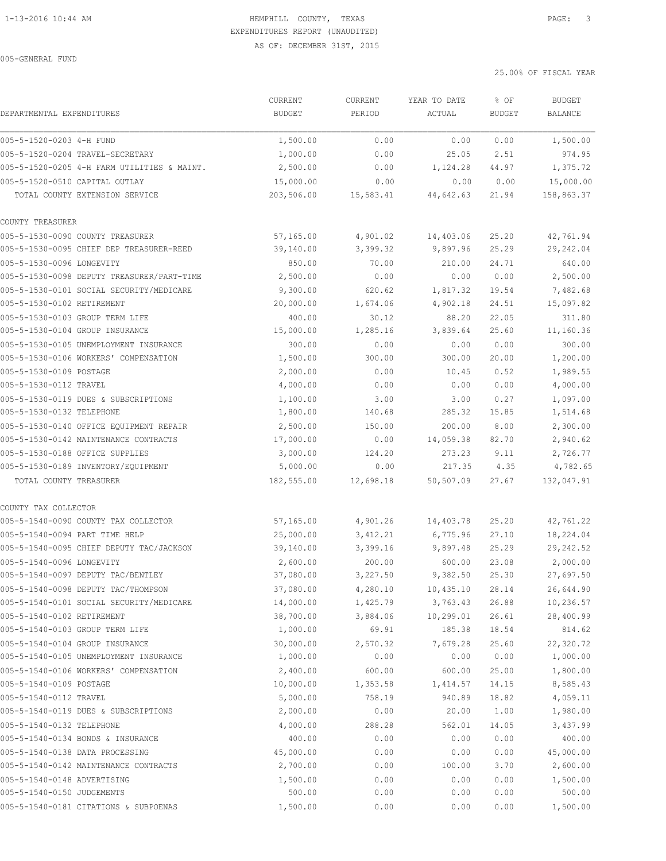005-GENERAL FUND

|                                | CURRENT                                     | <b>CURRENT</b> | YEAR TO DATE | % OF       | <b>BUDGET</b> |            |
|--------------------------------|---------------------------------------------|----------------|--------------|------------|---------------|------------|
| DEPARTMENTAL EXPENDITURES      |                                             | <b>BUDGET</b>  | PERIOD       | ACTUAL     | <b>BUDGET</b> | BALANCE    |
| 005-5-1520-0203 4-H FUND       |                                             | 1,500.00       | 0.00         | 0.00       | 0.00          | 1,500.00   |
|                                | 005-5-1520-0204 TRAVEL-SECRETARY            | 1,000.00       | 0.00         | 25.05      | 2.51          | 974.95     |
|                                | 005-5-1520-0205 4-H FARM UTILITIES & MAINT. | 2,500.00       | 0.00         | 1,124.28   | 44.97         | 1,375.72   |
| 005-5-1520-0510 CAPITAL OUTLAY |                                             | 15,000.00      | 0.00         | 0.00       | 0.00          | 15,000.00  |
|                                | TOTAL COUNTY EXTENSION SERVICE              | 203,506.00     | 15,583.41    | 44,642.63  | 21.94         | 158,863.37 |
| COUNTY TREASURER               |                                             |                |              |            |               |            |
|                                | 005-5-1530-0090 COUNTY TREASURER            | 57,165.00      | 4,901.02     | 14,403.06  | 25.20         | 42,761.94  |
|                                | 005-5-1530-0095 CHIEF DEP TREASURER-REED    | 39,140.00      | 3,399.32     | 9,897.96   | 25.29         | 29,242.04  |
| 005-5-1530-0096 LONGEVITY      |                                             | 850.00         | 70.00        | 210.00     | 24.71         | 640.00     |
|                                | 005-5-1530-0098 DEPUTY TREASURER/PART-TIME  | 2,500.00       | 0.00         | 0.00       | 0.00          | 2,500.00   |
|                                | 005-5-1530-0101 SOCIAL SECURITY/MEDICARE    | 9,300.00       | 620.62       | 1,817.32   | 19.54         | 7,482.68   |
| 005-5-1530-0102 RETIREMENT     |                                             | 20,000.00      | 1,674.06     | 4,902.18   | 24.51         | 15,097.82  |
|                                | 005-5-1530-0103 GROUP TERM LIFE             | 400.00         | 30.12        | 88.20      | 22.05         | 311.80     |
|                                | 005-5-1530-0104 GROUP INSURANCE             | 15,000.00      | 1,285.16     | 3,839.64   | 25.60         | 11,160.36  |
|                                | 005-5-1530-0105 UNEMPLOYMENT INSURANCE      | 300.00         | 0.00         | 0.00       | 0.00          | 300.00     |
|                                | 005-5-1530-0106 WORKERS' COMPENSATION       | 1,500.00       | 300.00       | 300.00     | 20.00         | 1,200.00   |
| 005-5-1530-0109 POSTAGE        |                                             | 2,000.00       | 0.00         | 10.45      | 0.52          | 1,989.55   |
| 005-5-1530-0112 TRAVEL         |                                             | 4,000.00       | 0.00         | 0.00       | 0.00          | 4,000.00   |
|                                | 005-5-1530-0119 DUES & SUBSCRIPTIONS        | 1,100.00       | 3.00         | 3.00       | 0.27          | 1,097.00   |
| 005-5-1530-0132 TELEPHONE      |                                             | 1,800.00       | 140.68       | 285.32     | 15.85         | 1,514.68   |
|                                | 005-5-1530-0140 OFFICE EQUIPMENT REPAIR     | 2,500.00       | 150.00       | 200.00     | 8.00          | 2,300.00   |
|                                | 005-5-1530-0142 MAINTENANCE CONTRACTS       | 17,000.00      | 0.00         | 14,059.38  | 82.70         | 2,940.62   |
|                                | 005-5-1530-0188 OFFICE SUPPLIES             | 3,000.00       | 124.20       | 273.23     | 9.11          | 2,726.77   |
|                                | 005-5-1530-0189 INVENTORY/EQUIPMENT         | 5,000.00       | 0.00         | 217.35     | 4.35          | 4,782.65   |
| TOTAL COUNTY TREASURER         |                                             | 182,555.00     | 12,698.18    | 50,507.09  | 27.67         | 132,047.91 |
| COUNTY TAX COLLECTOR           |                                             |                |              |            |               |            |
|                                | 005-5-1540-0090 COUNTY TAX COLLECTOR        | 57,165.00      | 4,901.26     | 14,403.78  | 25.20         | 42,761.22  |
| 005-5-1540-0094 PART TIME HELP |                                             | 25,000.00      | 3,412.21     | 6,775.96   | 27.10         | 18,224.04  |
|                                | 005-5-1540-0095 CHIEF DEPUTY TAC/JACKSON    | 39,140.00      | 3,399.16     | 9,897.48   | 25.29         | 29, 242.52 |
| 005-5-1540-0096 LONGEVITY      |                                             | 2,600.00       | 200.00       | 600.00     | 23.08         | 2,000.00   |
|                                | 005-5-1540-0097 DEPUTY TAC/BENTLEY          | 37,080.00      | 3,227.50     | 9,382.50   | 25.30         | 27,697.50  |
|                                | 005-5-1540-0098 DEPUTY TAC/THOMPSON         | 37,080.00      | 4,280.10     | 10,435.10  | 28.14         | 26,644.90  |
|                                | 005-5-1540-0101 SOCIAL SECURITY/MEDICARE    | 14,000.00      | 1,425.79     | 3,763.43   | 26.88         | 10,236.57  |
| 005-5-1540-0102 RETIREMENT     |                                             | 38,700.00      | 3,884.06     | 10, 299.01 | 26.61         | 28,400.99  |
|                                | 005-5-1540-0103 GROUP TERM LIFE             | 1,000.00       | 69.91        | 185.38     | 18.54         | 814.62     |
|                                | 005-5-1540-0104 GROUP INSURANCE             | 30,000.00      | 2,570.32     | 7,679.28   | 25.60         | 22,320.72  |
|                                | 005-5-1540-0105 UNEMPLOYMENT INSURANCE      | 1,000.00       | 0.00         | 0.00       | 0.00          | 1,000.00   |
|                                | 005-5-1540-0106 WORKERS' COMPENSATION       | 2,400.00       | 600.00       | 600.00     | 25.00         | 1,800.00   |
| 005-5-1540-0109 POSTAGE        |                                             | 10,000.00      | 1,353.58     | 1,414.57   | 14.15         | 8,585.43   |
| 005-5-1540-0112 TRAVEL         |                                             | 5,000.00       | 758.19       | 940.89     | 18.82         | 4,059.11   |
|                                | 005-5-1540-0119 DUES & SUBSCRIPTIONS        | 2,000.00       | 0.00         | 20.00      | 1.00          | 1,980.00   |
| 005-5-1540-0132 TELEPHONE      |                                             | 4,000.00       | 288.28       | 562.01     | 14.05         | 3,437.99   |
|                                | 005-5-1540-0134 BONDS & INSURANCE           | 400.00         | 0.00         | 0.00       | 0.00          | 400.00     |
|                                | 005-5-1540-0138 DATA PROCESSING             | 45,000.00      | 0.00         | 0.00       | 0.00          | 45,000.00  |
|                                | 005-5-1540-0142 MAINTENANCE CONTRACTS       | 2,700.00       | 0.00         | 100.00     | 3.70          | 2,600.00   |
| 005-5-1540-0148 ADVERTISING    |                                             | 1,500.00       | 0.00         | 0.00       | 0.00          | 1,500.00   |
| 005-5-1540-0150 JUDGEMENTS     |                                             | 500.00         | 0.00         | 0.00       | 0.00          | 500.00     |
|                                | 005-5-1540-0181 CITATIONS & SUBPOENAS       | 1,500.00       | 0.00         | 0.00       | 0.00          | 1,500.00   |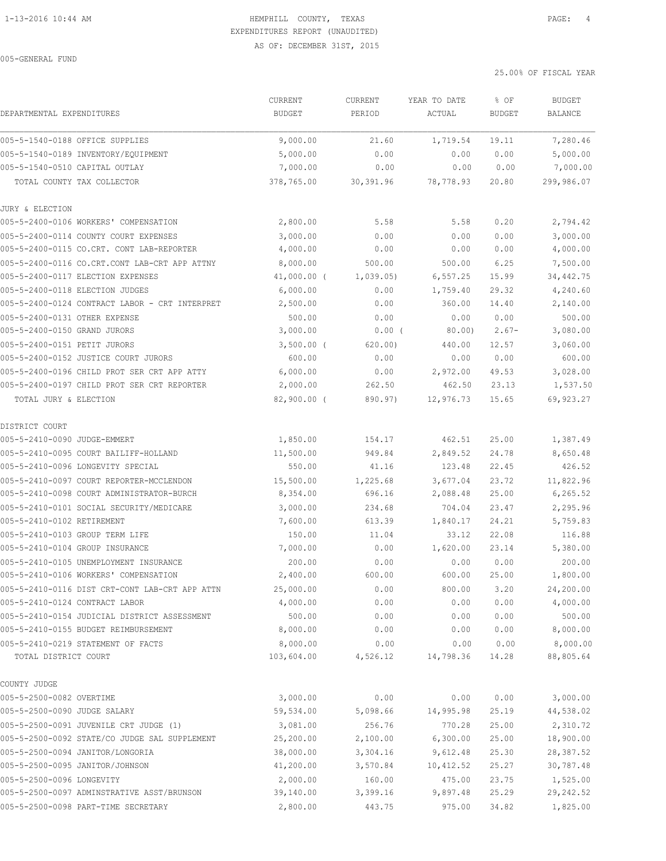|                                                                                         | CURRENT                | <b>CURRENT</b>       | YEAR TO DATE          | % OF           | <b>BUDGET</b>          |
|-----------------------------------------------------------------------------------------|------------------------|----------------------|-----------------------|----------------|------------------------|
| DEPARTMENTAL EXPENDITURES                                                               | <b>BUDGET</b>          | PERIOD               | ACTUAL                | <b>BUDGET</b>  | <b>BALANCE</b>         |
| 005-5-1540-0188 OFFICE SUPPLIES                                                         | 9,000.00               | 21.60                | 1,719.54              | 19.11          | 7,280.46               |
| 005-5-1540-0189 INVENTORY/EQUIPMENT                                                     | 5,000.00               | 0.00                 | 0.00                  | 0.00           | 5,000.00               |
| 005-5-1540-0510 CAPITAL OUTLAY                                                          | 7,000.00               | 0.00                 | 0.00                  | 0.00           | 7,000.00               |
| TOTAL COUNTY TAX COLLECTOR                                                              | 378,765.00             | 30,391.96            | 78,778.93             | 20.80          | 299,986.07             |
| JURY & ELECTION                                                                         |                        |                      |                       |                |                        |
| 005-5-2400-0106 WORKERS' COMPENSATION                                                   | 2,800.00               | 5.58                 | 5.58                  | 0.20           | 2,794.42               |
| 005-5-2400-0114 COUNTY COURT EXPENSES                                                   | 3,000.00               | 0.00                 | 0.00                  | 0.00           | 3,000.00               |
| 005-5-2400-0115 CO.CRT. CONT LAB-REPORTER                                               | 4,000.00               | 0.00                 | 0.00                  | 0.00           | 4,000.00               |
| 005-5-2400-0116 CO.CRT.CONT LAB-CRT APP ATTNY                                           | 8,000.00               | 500.00               | 500.00                | 6.25           | 7,500.00               |
| 005-5-2400-0117 ELECTION EXPENSES                                                       | $41,000.00$ (          | 1,039.05)            | 6,557.25              | 15.99          | 34,442.75              |
| 005-5-2400-0118 ELECTION JUDGES                                                         | 6,000.00               | 0.00                 | 1,759.40              | 29.32          | 4,240.60               |
| 005-5-2400-0124 CONTRACT LABOR - CRT INTERPRET                                          | 2,500.00               | 0.00                 | 360.00                | 14.40          | 2,140.00               |
| 005-5-2400-0131 OTHER EXPENSE                                                           | 500.00                 | 0.00                 | 0.00                  | 0.00           | 500.00                 |
| 005-5-2400-0150 GRAND JURORS                                                            | 3,000.00               | $0.00$ (             | 80.00                 | $2.67-$        | 3,080.00               |
| 005-5-2400-0151 PETIT JURORS                                                            | $3,500.00$ (           | 620.00               | 440.00                | 12.57          | 3,060.00               |
| 005-5-2400-0152 JUSTICE COURT JURORS                                                    | 600.00                 | 0.00                 | 0.00                  | 0.00           | 600.00                 |
| 005-5-2400-0196 CHILD PROT SER CRT APP ATTY                                             | 6,000.00               | 0.00                 | 2,972.00              | 49.53          | 3,028.00               |
| 005-5-2400-0197 CHILD PROT SER CRT REPORTER                                             | 2,000.00               | 262.50               | 462.50                | 23.13          | 1,537.50               |
| TOTAL JURY & ELECTION                                                                   | $82,900.00$ (          | 890.97)              | 12,976.73             | 15.65          | 69,923.27              |
| DISTRICT COURT                                                                          |                        |                      |                       |                |                        |
| 005-5-2410-0090 JUDGE-EMMERT                                                            | 1,850.00               | 154.17               | 462.51                | 25.00          | 1,387.49               |
| 005-5-2410-0095 COURT BAILIFF-HOLLAND                                                   | 11,500.00              | 949.84               | 2,849.52              | 24.78          | 8,650.48               |
| 005-5-2410-0096 LONGEVITY SPECIAL                                                       | 550.00                 | 41.16                | 123.48                | 22.45          | 426.52                 |
| 005-5-2410-0097 COURT REPORTER-MCCLENDON                                                | 15,500.00              | 1,225.68             | 3,677.04              | 23.72          | 11,822.96              |
| 005-5-2410-0098 COURT ADMINISTRATOR-BURCH                                               | 8,354.00               | 696.16               | 2,088.48              | 25.00          | 6, 265.52              |
| 005-5-2410-0101 SOCIAL SECURITY/MEDICARE                                                | 3,000.00               | 234.68               | 704.04                | 23.47          | 2,295.96               |
| 005-5-2410-0102 RETIREMENT                                                              | 7,600.00               | 613.39               | 1,840.17              | 24.21          | 5,759.83               |
| 005-5-2410-0103 GROUP TERM LIFE                                                         | 150.00                 | 11.04                | 33.12                 | 22.08          | 116.88                 |
| 005-5-2410-0104 GROUP INSURANCE                                                         | 7,000.00               | 0.00                 | 1,620.00              | 23.14          | 5,380.00               |
| 005-5-2410-0105 UNEMPLOYMENT INSURANCE                                                  | 200.00                 | 0.00                 | 0.00                  | 0.00           | 200.00                 |
| 005-5-2410-0106 WORKERS' COMPENSATION                                                   | 2,400.00               | 600.00               | 600.00                | 25.00          | 1,800.00               |
| 005-5-2410-0116 DIST CRT-CONT LAB-CRT APP ATTN                                          | 25,000.00              | 0.00                 | 800.00                | 3.20           | 24,200.00              |
| 005-5-2410-0124 CONTRACT LABOR                                                          | 4,000.00               | 0.00                 | 0.00                  | 0.00           | 4,000.00               |
| 005-5-2410-0154 JUDICIAL DISTRICT ASSESSMENT                                            | 500.00                 | 0.00                 | 0.00                  | 0.00           | 500.00                 |
| 005-5-2410-0155 BUDGET REIMBURSEMENT                                                    | 8,000.00               | 0.00                 | 0.00                  | 0.00           | 8,000.00               |
| 005-5-2410-0219 STATEMENT OF FACTS<br>TOTAL DISTRICT COURT                              | 8,000.00<br>103,604.00 | 0.00<br>4,526.12     | 0.00<br>14,798.36     | 0.00<br>14.28  | 8,000.00<br>88,805.64  |
|                                                                                         |                        |                      |                       |                |                        |
| COUNTY JUDGE                                                                            |                        |                      |                       |                |                        |
| 005-5-2500-0082 OVERTIME<br>005-5-2500-0090 JUDGE SALARY                                | 3,000.00               | 0.00                 | 0.00                  | 0.00           | 3,000.00               |
|                                                                                         | 59,534.00              | 5,098.66             | 14,995.98             | 25.19          | 44,538.02              |
| 005-5-2500-0091 JUVENILE CRT JUDGE (1)<br>005-5-2500-0092 STATE/CO JUDGE SAL SUPPLEMENT | 3,081.00               | 256.76               | 770.28<br>6,300.00    | 25.00          | 2,310.72<br>18,900.00  |
|                                                                                         | 25,200.00              | 2,100.00             |                       | 25.00          |                        |
| 005-5-2500-0094 JANITOR/LONGORIA<br>005-5-2500-0095 JANITOR/JOHNSON                     | 38,000.00<br>41,200.00 | 3,304.16<br>3,570.84 | 9,612.48<br>10,412.52 | 25.30<br>25.27 | 28,387.52<br>30,787.48 |
| 005-5-2500-0096 LONGEVITY                                                               | 2,000.00               |                      |                       | 23.75          | 1,525.00               |
| 005-5-2500-0097 ADMINSTRATIVE ASST/BRUNSON                                              | 39,140.00              | 160.00<br>3,399.16   | 475.00<br>9,897.48    | 25.29          | 29, 242.52             |
| 005-5-2500-0098 PART-TIME SECRETARY                                                     | 2,800.00               | 443.75               | 975.00                | 34.82          | 1,825.00               |
|                                                                                         |                        |                      |                       |                |                        |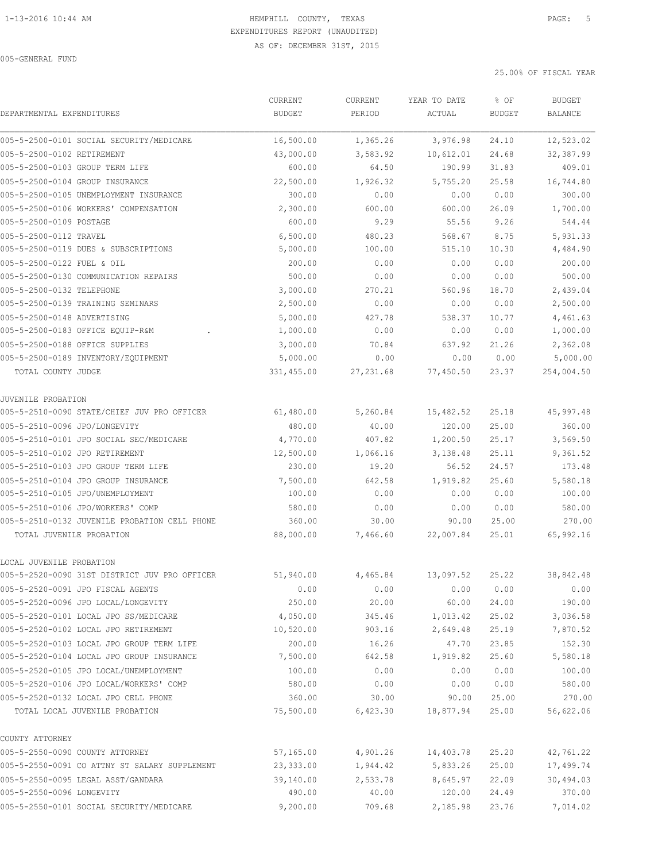| DEPARTMENTAL EXPENDITURES                     | CURRENT<br><b>BUDGET</b> | CURRENT<br>PERIOD | YEAR TO DATE<br>ACTUAL | % OF<br><b>BUDGET</b> | <b>BUDGET</b><br>BALANCE |
|-----------------------------------------------|--------------------------|-------------------|------------------------|-----------------------|--------------------------|
|                                               |                          |                   |                        |                       |                          |
| 005-5-2500-0101 SOCIAL SECURITY/MEDICARE      | 16,500.00                | 1,365.26          | 3,976.98               | 24.10                 | 12,523.02                |
| 005-5-2500-0102 RETIREMENT                    | 43,000.00                | 3,583.92          | 10,612.01              | 24.68                 | 32,387.99                |
| 005-5-2500-0103 GROUP TERM LIFE               | 600.00                   | 64.50             | 190.99                 | 31.83                 | 409.01                   |
| 005-5-2500-0104 GROUP INSURANCE               | 22,500.00                | 1,926.32          | 5,755.20               | 25.58                 | 16,744.80                |
| 005-5-2500-0105 UNEMPLOYMENT INSURANCE        | 300.00                   | 0.00              | 0.00                   | 0.00                  | 300.00                   |
| 005-5-2500-0106 WORKERS' COMPENSATION         | 2,300.00                 | 600.00            | 600.00                 | 26.09                 | 1,700.00                 |
| 005-5-2500-0109 POSTAGE                       | 600.00                   | 9.29              | 55.56                  | 9.26                  | 544.44                   |
| 005-5-2500-0112 TRAVEL                        | 6,500.00                 | 480.23            | 568.67                 | 8.75                  | 5,931.33                 |
| 005-5-2500-0119 DUES & SUBSCRIPTIONS          | 5,000.00                 | 100.00            | 515.10                 | 10.30                 | 4,484.90                 |
| 005-5-2500-0122 FUEL & OIL                    | 200.00                   | 0.00              | 0.00                   | 0.00                  | 200.00                   |
| 005-5-2500-0130 COMMUNICATION REPAIRS         | 500.00                   | 0.00              | 0.00                   | 0.00                  | 500.00                   |
| 005-5-2500-0132 TELEPHONE                     | 3,000.00                 | 270.21            | 560.96                 | 18.70                 | 2,439.04                 |
| 005-5-2500-0139 TRAINING SEMINARS             | 2,500.00                 | 0.00              | 0.00                   | 0.00                  | 2,500.00                 |
| 005-5-2500-0148 ADVERTISING                   | 5,000.00                 | 427.78            | 538.37                 | 10.77                 | 4,461.63                 |
| 005-5-2500-0183 OFFICE EQUIP-R&M              | 1,000.00                 | 0.00              | 0.00                   | 0.00                  | 1,000.00                 |
| 005-5-2500-0188 OFFICE SUPPLIES               | 3,000.00                 | 70.84             | 637.92                 | 21.26                 | 2,362.08                 |
| 005-5-2500-0189 INVENTORY/EQUIPMENT           | 5,000.00                 | 0.00              | 0.00                   | 0.00                  | 5,000.00                 |
| TOTAL COUNTY JUDGE                            | 331,455.00               | 27, 231.68        | 77,450.50              | 23.37                 | 254,004.50               |
| JUVENILE PROBATION                            |                          |                   |                        |                       |                          |
| 005-5-2510-0090 STATE/CHIEF JUV PRO OFFICER   | 61,480.00                | 5,260.84          | 15,482.52              | 25.18                 | 45,997.48                |
| 005-5-2510-0096 JPO/LONGEVITY                 | 480.00                   | 40.00             | 120.00                 | 25.00                 | 360.00                   |
| 005-5-2510-0101 JPO SOCIAL SEC/MEDICARE       | 4,770.00                 | 407.82            | 1,200.50               | 25.17                 | 3,569.50                 |
| 005-5-2510-0102 JPO RETIREMENT                | 12,500.00                | 1,066.16          | 3,138.48               | 25.11                 | 9,361.52                 |
| 005-5-2510-0103 JPO GROUP TERM LIFE           | 230.00                   | 19.20             | 56.52                  | 24.57                 | 173.48                   |
| 005-5-2510-0104 JPO GROUP INSURANCE           | 7,500.00                 | 642.58            | 1,919.82               | 25.60                 | 5,580.18                 |
| 005-5-2510-0105 JPO/UNEMPLOYMENT              | 100.00                   | 0.00              | 0.00                   | 0.00                  | 100.00                   |
| 005-5-2510-0106 JPO/WORKERS' COMP             | 580.00                   | 0.00              | 0.00                   | 0.00                  | 580.00                   |
| 005-5-2510-0132 JUVENILE PROBATION CELL PHONE | 360.00                   | 30.00             | 90.00                  | 25.00                 | 270.00                   |
| TOTAL JUVENILE PROBATION                      | 88,000.00                | 7,466.60          | 22,007.84              | 25.01                 | 65,992.16                |
| LOCAL JUVENILE PROBATION                      |                          |                   |                        |                       |                          |
| 005-5-2520-0090 31ST DISTRICT JUV PRO OFFICER | 51,940.00                | 4,465.84          | 13,097.52              | 25.22                 | 38,842.48                |
| 005-5-2520-0091 JPO FISCAL AGENTS             | 0.00                     | 0.00              | 0.00                   | 0.00                  | 0.00                     |
| 005-5-2520-0096 JPO LOCAL/LONGEVITY           | 250.00                   | 20.00             | 60.00                  | 24.00                 | 190.00                   |
| 005-5-2520-0101 LOCAL JPO SS/MEDICARE         | 4,050.00                 | 345.46            | 1,013.42               | 25.02                 | 3,036.58                 |
| 005-5-2520-0102 LOCAL JPO RETIREMENT          | 10,520.00                | 903.16            | 2,649.48               | 25.19                 | 7,870.52                 |
| 005-5-2520-0103 LOCAL JPO GROUP TERM LIFE     | 200.00                   | 16.26             | 47.70                  | 23.85                 | 152.30                   |
| 005-5-2520-0104 LOCAL JPO GROUP INSURANCE     | 7,500.00                 | 642.58            | 1,919.82               | 25.60                 | 5,580.18                 |
| 005-5-2520-0105 JPO LOCAL/UNEMPLOYMENT        | 100.00                   | 0.00              | 0.00                   | 0.00                  | 100.00                   |
| 005-5-2520-0106 JPO LOCAL/WORKERS' COMP       | 580.00                   | 0.00              | 0.00                   | 0.00                  | 580.00                   |
| 005-5-2520-0132 LOCAL JPO CELL PHONE          | 360.00                   | 30.00             | 90.00                  | 25.00                 | 270.00                   |
| TOTAL LOCAL JUVENILE PROBATION                | 75,500.00                | 6,423.30          | 18,877.94              | 25.00                 | 56,622.06                |
| COUNTY ATTORNEY                               |                          |                   |                        |                       |                          |
| 005-5-2550-0090 COUNTY ATTORNEY               | 57,165.00                | 4,901.26          | 14,403.78              | 25.20                 | 42,761.22                |
| 005-5-2550-0091 CO ATTNY ST SALARY SUPPLEMENT | 23,333.00                | 1,944.42          | 5,833.26               | 25.00                 | 17,499.74                |
| 005-5-2550-0095 LEGAL ASST/GANDARA            | 39,140.00                | 2,533.78          | 8,645.97               | 22.09                 | 30,494.03                |
| 005-5-2550-0096 LONGEVITY                     | 490.00                   | 40.00             | 120.00                 | 24.49                 | 370.00                   |
| 005-5-2550-0101 SOCIAL SECURITY/MEDICARE      | 9,200.00                 | 709.68            | 2,185.98               | 23.76                 | 7,014.02                 |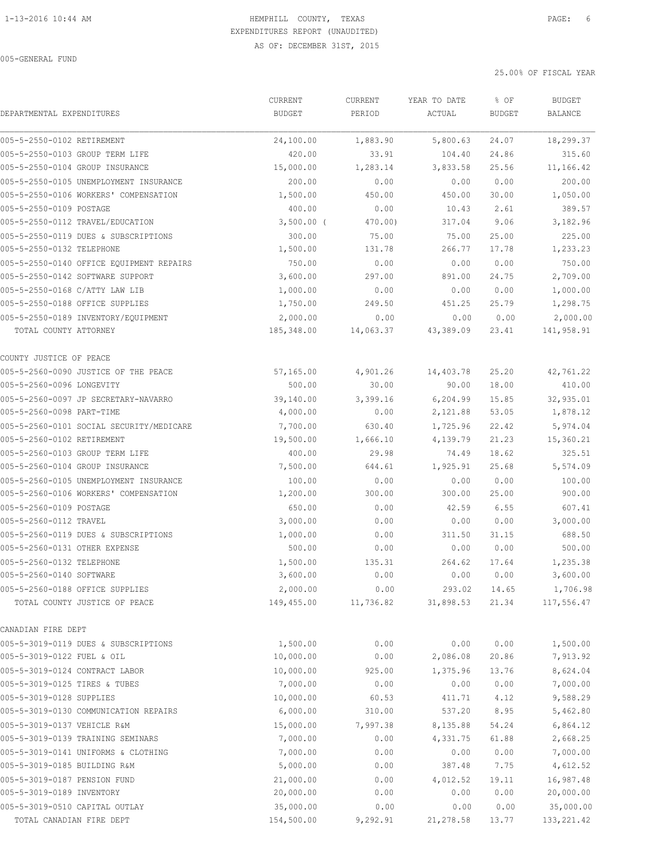|                                |                                          | CURRENT       | CURRENT   | YEAR TO DATE | % OF          | <b>BUDGET</b> |
|--------------------------------|------------------------------------------|---------------|-----------|--------------|---------------|---------------|
| DEPARTMENTAL EXPENDITURES      |                                          | <b>BUDGET</b> | PERIOD    | ACTUAL       | <b>BUDGET</b> | BALANCE       |
| 005-5-2550-0102 RETIREMENT     |                                          | 24,100.00     | 1,883.90  | 5,800.63     | 24.07         | 18,299.37     |
|                                | 005-5-2550-0103 GROUP TERM LIFE          | 420.00        | 33.91     | 104.40       | 24.86         | 315.60        |
|                                | 005-5-2550-0104 GROUP INSURANCE          | 15,000.00     | 1,283.14  | 3,833.58     | 25.56         | 11,166.42     |
|                                | 005-5-2550-0105 UNEMPLOYMENT INSURANCE   | 200.00        | 0.00      | 0.00         | 0.00          | 200.00        |
|                                | 005-5-2550-0106 WORKERS' COMPENSATION    | 1,500.00      | 450.00    | 450.00       | 30.00         | 1,050.00      |
| 005-5-2550-0109 POSTAGE        |                                          | 400.00        | 0.00      | 10.43        | 2.61          | 389.57        |
|                                | 005-5-2550-0112 TRAVEL/EDUCATION         | $3,500.00$ (  | 470.00)   | 317.04       | 9.06          | 3,182.96      |
|                                | 005-5-2550-0119 DUES & SUBSCRIPTIONS     | 300.00        | 75.00     | 75.00        | 25.00         | 225.00        |
| 005-5-2550-0132 TELEPHONE      |                                          | 1,500.00      | 131.78    | 266.77       | 17.78         | 1,233.23      |
|                                | 005-5-2550-0140 OFFICE EQUIPMENT REPAIRS | 750.00        | 0.00      | 0.00         | 0.00          | 750.00        |
|                                | 005-5-2550-0142 SOFTWARE SUPPORT         | 3,600.00      | 297.00    | 891.00       | 24.75         | 2,709.00      |
| 005-5-2550-0168 C/ATTY LAW LIB |                                          | 1,000.00      | 0.00      | 0.00         | 0.00          | 1,000.00      |
|                                | 005-5-2550-0188 OFFICE SUPPLIES          | 1,750.00      | 249.50    | 451.25       | 25.79         | 1,298.75      |
|                                | 005-5-2550-0189 INVENTORY/EQUIPMENT      | 2,000.00      | 0.00      | 0.00         | 0.00          | 2,000.00      |
| TOTAL COUNTY ATTORNEY          |                                          | 185,348.00    | 14,063.37 | 43,389.09    | 23.41         | 141,958.91    |
| COUNTY JUSTICE OF PEACE        |                                          |               |           |              |               |               |
|                                | 005-5-2560-0090 JUSTICE OF THE PEACE     | 57,165.00     | 4,901.26  | 14,403.78    | 25.20         | 42,761.22     |
| 005-5-2560-0096 LONGEVITY      |                                          | 500.00        | 30.00     | 90.00        | 18.00         | 410.00        |
|                                | 005-5-2560-0097 JP SECRETARY-NAVARRO     | 39,140.00     | 3,399.16  | 6, 204.99    | 15.85         | 32,935.01     |
| 005-5-2560-0098 PART-TIME      |                                          | 4,000.00      | 0.00      | 2,121.88     | 53.05         | 1,878.12      |
|                                | 005-5-2560-0101 SOCIAL SECURITY/MEDICARE | 7,700.00      | 630.40    | 1,725.96     | 22.42         | 5,974.04      |
| 005-5-2560-0102 RETIREMENT     |                                          | 19,500.00     | 1,666.10  | 4,139.79     | 21.23         | 15,360.21     |
|                                | 005-5-2560-0103 GROUP TERM LIFE          | 400.00        | 29.98     | 74.49        | 18.62         | 325.51        |
|                                | 005-5-2560-0104 GROUP INSURANCE          | 7,500.00      | 644.61    | 1,925.91     | 25.68         | 5,574.09      |
|                                | 005-5-2560-0105 UNEMPLOYMENT INSURANCE   | 100.00        | 0.00      | 0.00         | 0.00          | 100.00        |
|                                | 005-5-2560-0106 WORKERS' COMPENSATION    | 1,200.00      | 300.00    | 300.00       | 25.00         | 900.00        |
| 005-5-2560-0109 POSTAGE        |                                          | 650.00        | 0.00      | 42.59        | 6.55          | 607.41        |
| 005-5-2560-0112 TRAVEL         |                                          | 3,000.00      | 0.00      | 0.00         | 0.00          | 3,000.00      |
|                                | 005-5-2560-0119 DUES & SUBSCRIPTIONS     | 1,000.00      | 0.00      | 311.50       | 31.15         | 688.50        |
| 005-5-2560-0131 OTHER EXPENSE  |                                          | 500.00        | 0.00      | 0.00         | 0.00          | 500.00        |
| 005-5-2560-0132 TELEPHONE      |                                          | 1,500.00      | 135.31    | 264.62       | 17.64         | 1,235.38      |
| 005-5-2560-0140 SOFTWARE       |                                          | 3,600.00      | 0.00      | 0.00         | 0.00          | 3,600.00      |
|                                | 005-5-2560-0188 OFFICE SUPPLIES          | 2,000.00      | 0.00      | 293.02       | 14.65         | 1,706.98      |
|                                | TOTAL COUNTY JUSTICE OF PEACE            | 149,455.00    | 11,736.82 | 31,898.53    | 21.34         | 117,556.47    |
| CANADIAN FIRE DEPT             |                                          |               |           |              |               |               |
|                                | 005-5-3019-0119 DUES & SUBSCRIPTIONS     | 1,500.00      | 0.00      | 0.00         | 0.00          | 1,500.00      |
| 005-5-3019-0122 FUEL & OIL     |                                          | 10,000.00     | 0.00      | 2,086.08     | 20.86         | 7,913.92      |
| 005-5-3019-0124 CONTRACT LABOR |                                          | 10,000.00     | 925.00    | 1,375.96     | 13.76         | 8,624.04      |
| 005-5-3019-0125 TIRES & TUBES  |                                          | 7,000.00      | 0.00      | 0.00         | 0.00          | 7,000.00      |
| 005-5-3019-0128 SUPPLIES       |                                          | 10,000.00     | 60.53     | 411.71       | 4.12          | 9,588.29      |
|                                | 005-5-3019-0130 COMMUNICATION REPAIRS    | 6,000.00      | 310.00    | 537.20       | 8.95          | 5,462.80      |
| 005-5-3019-0137 VEHICLE R&M    |                                          | 15,000.00     | 7,997.38  | 8,135.88     | 54.24         | 6,864.12      |
|                                | 005-5-3019-0139 TRAINING SEMINARS        | 7,000.00      | 0.00      | 4,331.75     | 61.88         | 2,668.25      |
|                                | 005-5-3019-0141 UNIFORMS & CLOTHING      | 7,000.00      | 0.00      | 0.00         | 0.00          | 7,000.00      |
| 005-5-3019-0185 BUILDING R&M   |                                          | 5,000.00      | 0.00      | 387.48       | 7.75          | 4,612.52      |
| 005-5-3019-0187 PENSION FUND   |                                          | 21,000.00     | 0.00      | 4,012.52     | 19.11         | 16,987.48     |
| 005-5-3019-0189 INVENTORY      |                                          | 20,000.00     | 0.00      | 0.00         | 0.00          | 20,000.00     |
| 005-5-3019-0510 CAPITAL OUTLAY |                                          | 35,000.00     | 0.00      | 0.00         | 0.00          | 35,000.00     |
| TOTAL CANADIAN FIRE DEPT       |                                          | 154,500.00    | 9,292.91  | 21,278.58    | 13.77         | 133, 221.42   |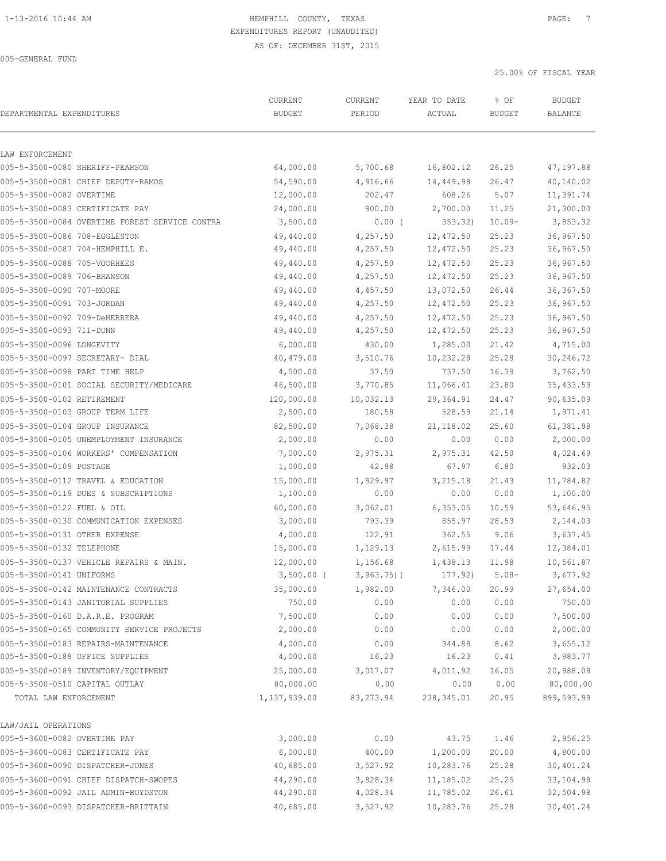| DEPARTMENTAL EXPENDITURES                      | CURRENT<br><b>BUDGET</b> | CURRENT<br>PERIOD | YEAR TO DATE<br>ACTUAL | % OF<br><b>BUDGET</b> | <b>BUDGET</b><br><b>BALANCE</b> |
|------------------------------------------------|--------------------------|-------------------|------------------------|-----------------------|---------------------------------|
|                                                |                          |                   |                        |                       |                                 |
| LAW ENFORCEMENT                                |                          |                   |                        |                       |                                 |
| 005-5-3500-0080 SHERIFF-PEARSON                | 64,000.00                | 5,700.68          | 16,802.12              | 26.25                 | 47,197.88                       |
| 005-5-3500-0081 CHIEF DEPUTY-RAMOS             | 54,590.00                | 4,916.66          | 14,449.98              | 26.47                 | 40,140.02                       |
| 005-5-3500-0082 OVERTIME                       | 12,000.00                | 202.47            | 608.26                 | 5.07                  | 11,391.74                       |
| 005-5-3500-0083 CERTIFICATE PAY                | 24,000.00                | 900.00            | 2,700.00               | 11.25                 | 21,300.00                       |
| 005-5-3500-0084 OVERTIME FOREST SERVICE CONTRA | 3,500.00                 | $0.00$ (          | 353.32)                | $10.09 -$             | 3,853.32                        |
| 005-5-3500-0086 708-EGGLESTON                  | 49,440.00                | 4,257.50          | 12,472.50              | 25.23                 | 36,967.50                       |
| 005-5-3500-0087 704-HEMPHILL E.                | 49,440.00                | 4,257.50          | 12,472.50              | 25.23                 | 36,967.50                       |
| 005-5-3500-0088 705-VOORHEES                   | 49,440.00                | 4,257.50          | 12,472.50              | 25.23                 | 36,967.50                       |
| 005-5-3500-0089 706-BRANSON                    | 49,440.00                | 4,257.50          | 12,472.50              | 25.23                 | 36,967.50                       |
| 005-5-3500-0090 707-MOORE                      | 49,440.00                | 4,457.50          | 13,072.50              | 26.44                 | 36, 367.50                      |
| 005-5-3500-0091 703-JORDAN                     | 49,440.00                | 4,257.50          | 12,472.50              | 25.23                 | 36,967.50                       |
| 005-5-3500-0092 709-DeHERRERA                  | 49,440.00                | 4,257.50          | 12,472.50              | 25.23                 | 36,967.50                       |
| 005-5-3500-0093 711-DUNN                       | 49,440.00                | 4,257.50          | 12,472.50              | 25.23                 | 36,967.50                       |
| 005-5-3500-0096 LONGEVITY                      | 6,000.00                 | 430.00            | 1,285.00               | 21.42                 | 4,715.00                        |
| 005-5-3500-0097 SECRETARY- DIAL                | 40,479.00                | 3,510.76          | 10,232.28              | 25.28                 | 30,246.72                       |
| 005-5-3500-0098 PART TIME HELP                 | 4,500.00                 | 37.50             | 737.50                 | 16.39                 | 3,762.50                        |
| 005-5-3500-0101 SOCIAL SECURITY/MEDICARE       | 46,500.00                | 3,770.85          | 11,066.41              | 23.80                 | 35,433.59                       |
| 005-5-3500-0102 RETIREMENT                     | 120,000.00               | 10,032.13         | 29,364.91              | 24.47                 | 90,635.09                       |
| 005-5-3500-0103 GROUP TERM LIFE                | 2,500.00                 | 180.58            | 528.59                 | 21.14                 | 1,971.41                        |
| 005-5-3500-0104 GROUP INSURANCE                | 82,500.00                | 7,068.38          | 21, 118.02             | 25.60                 | 61,381.98                       |
| 005-5-3500-0105 UNEMPLOYMENT INSURANCE         | 2,000.00                 | 0.00              | 0.00                   | 0.00                  | 2,000.00                        |
| 005-5-3500-0106 WORKERS' COMPENSATION          | 7,000.00                 | 2,975.31          | 2,975.31               | 42.50                 | 4,024.69                        |
| 005-5-3500-0109 POSTAGE                        | 1,000.00                 | 42.98             | 67.97                  | 6.80                  | 932.03                          |
| 005-5-3500-0112 TRAVEL & EDUCATION             | 15,000.00                | 1,929.97          | 3, 215.18              | 21.43                 | 11,784.82                       |
| 005-5-3500-0119 DUES & SUBSCRIPTIONS           | 1,100.00                 | 0.00              | 0.00                   | 0.00                  | 1,100.00                        |
| 005-5-3500-0122 FUEL & OIL                     | 60,000.00                | 3,062.01          | 6, 353.05              | 10.59                 | 53,646.95                       |
| 005-5-3500-0130 COMMUNICATION EXPENSES         | 3,000.00                 | 793.39            | 855.97                 | 28.53                 | 2,144.03                        |
| 005-5-3500-0131 OTHER EXPENSE                  | 4,000.00                 | 122.91            | 362.55                 | 9.06                  | 3,637.45                        |
| 005-5-3500-0132 TELEPHONE                      | 15,000.00                | 1,129.13          | 2,615.99               | 17.44                 | 12,384.01                       |
| 005-5-3500-0137 VEHICLE REPAIRS & MAIN.        | 12,000.00                | 1,156.68          | 1,438.13               | 11.98                 | 10,561.87                       |
| 005-5-3500-0141 UNIFORMS                       | 3,500.00 (               | $3,963.75$ ) (    | 177.92) 5.08-          |                       | 3,677.92                        |
| 005-5-3500-0142 MAINTENANCE CONTRACTS          | 35,000.00                | 1,982.00          | 7,346.00               | 20.99                 | 27,654.00                       |
| 005-5-3500-0143 JANITORIAL SUPPLIES            | 750.00                   | 0.00              | 0.00                   | 0.00                  | 750.00                          |
| 005-5-3500-0160 D.A.R.E. PROGRAM               | 7,500.00                 | 0.00              | 0.00                   | 0.00                  | 7,500.00                        |
| 005-5-3500-0165 COMMUNITY SERVICE PROJECTS     | 2,000.00                 | 0.00              | 0.00                   | 0.00                  | 2,000.00                        |
| 005-5-3500-0183 REPAIRS-MAINTENANCE            | 4,000.00                 | 0.00              | 344.88                 | 8.62                  | 3,655.12                        |
| 005-5-3500-0188 OFFICE SUPPLIES                | 4,000.00                 | 16.23             | 16.23                  | 0.41                  | 3,983.77                        |
| 005-5-3500-0189 INVENTORY/EQUIPMENT            | 25,000.00                | 3,017.07          | 4,011.92               | 16.05                 | 20,988.08                       |
| 005-5-3500-0510 CAPITAL OUTLAY                 | 80,000.00                | 0.00              | 0.00                   | 0.00                  | 80,000.00                       |
| TOTAL LAW ENFORCEMENT                          | 1,137,939.00             | 83,273.94         | 238,345.01             | 20.95                 | 899,593.99                      |
| LAW/JAIL OPERATIONS                            |                          |                   |                        |                       |                                 |
| 005-5-3600-0082 OVERTIME PAY                   | 3,000.00                 | 0.00              | 43.75                  | 1.46                  | 2,956.25                        |
| 005-5-3600-0083 CERTIFICATE PAY                | 6,000.00                 | 400.00            | 1,200.00               | 20.00                 | 4,800.00                        |
| 005-5-3600-0090 DISPATCHER-JONES               | 40,685.00                | 3,527.92          | 10,283.76              | 25.28                 | 30,401.24                       |
| 005-5-3600-0091 CHIEF DISPATCH-SWOPES          | 44,290.00                | 3,828.34          | 11,185.02              | 25.25                 | 33,104.98                       |
| 005-5-3600-0092 JAIL ADMIN-BOYDSTON            | 44,290.00                | 4,028.34          | 11,785.02              | 26.61                 | 32,504.98                       |
| 005-5-3600-0093 DISPATCHER-BRITTAIN            | 40,685.00                | 3,527.92          | 10,283.76              | 25.28                 | 30,401.24                       |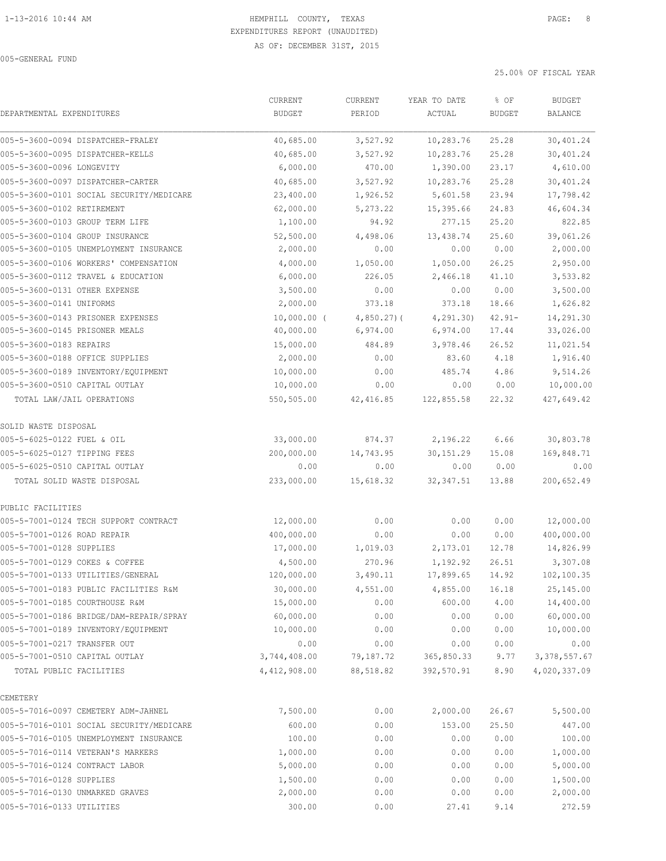|                                          | CURRENT       | <b>CURRENT</b> | YEAR TO DATE | % OF          | <b>BUDGET</b>  |
|------------------------------------------|---------------|----------------|--------------|---------------|----------------|
| DEPARTMENTAL EXPENDITURES                | <b>BUDGET</b> | PERIOD         | ACTUAL       | <b>BUDGET</b> | <b>BALANCE</b> |
| 005-5-3600-0094 DISPATCHER-FRALEY        | 40,685.00     | 3,527.92       | 10,283.76    | 25.28         | 30,401.24      |
| 005-5-3600-0095 DISPATCHER-KELLS         | 40,685.00     | 3,527.92       | 10,283.76    | 25.28         | 30,401.24      |
| 005-5-3600-0096 LONGEVITY                | 6,000.00      | 470.00         | 1,390.00     | 23.17         | 4,610.00       |
| 005-5-3600-0097 DISPATCHER-CARTER        | 40,685.00     | 3,527.92       | 10,283.76    | 25.28         | 30,401.24      |
| 005-5-3600-0101 SOCIAL SECURITY/MEDICARE | 23,400.00     | 1,926.52       | 5,601.58     | 23.94         | 17,798.42      |
| 005-5-3600-0102 RETIREMENT               | 62,000.00     | 5,273.22       | 15,395.66    | 24.83         | 46,604.34      |
| 005-5-3600-0103 GROUP TERM LIFE          | 1,100.00      | 94.92          | 277.15       | 25.20         | 822.85         |
| 005-5-3600-0104 GROUP INSURANCE          | 52,500.00     | 4,498.06       | 13,438.74    | 25.60         | 39,061.26      |
| 005-5-3600-0105 UNEMPLOYMENT INSURANCE   | 2,000.00      | 0.00           | 0.00         | 0.00          | 2,000.00       |
| 005-5-3600-0106 WORKERS' COMPENSATION    | 4,000.00      | 1,050.00       | 1,050.00     | 26.25         | 2,950.00       |
| 005-5-3600-0112 TRAVEL & EDUCATION       | 6,000.00      | 226.05         | 2,466.18     | 41.10         | 3,533.82       |
| 005-5-3600-0131 OTHER EXPENSE            | 3,500.00      | 0.00           | 0.00         | 0.00          | 3,500.00       |
| 005-5-3600-0141 UNIFORMS                 | 2,000.00      | 373.18         | 373.18       | 18.66         | 1,626.82       |
| 005-5-3600-0143 PRISONER EXPENSES        | $10,000.00$ ( | $4,850.27$ ) ( | 4, 291, 30)  | $42.91 -$     | 14,291.30      |
| 005-5-3600-0145 PRISONER MEALS           | 40,000.00     | 6,974.00       | 6,974.00     | 17.44         | 33,026.00      |
| 005-5-3600-0183 REPAIRS                  | 15,000.00     | 484.89         | 3,978.46     | 26.52         | 11,021.54      |
| 005-5-3600-0188 OFFICE SUPPLIES          | 2,000.00      | 0.00           | 83.60        | 4.18          | 1,916.40       |
| 005-5-3600-0189 INVENTORY/EQUIPMENT      | 10,000.00     | 0.00           | 485.74       | 4.86          | 9,514.26       |
| 005-5-3600-0510 CAPITAL OUTLAY           | 10,000.00     | 0.00           | 0.00         | 0.00          | 10,000.00      |
| TOTAL LAW/JAIL OPERATIONS                | 550,505.00    | 42, 416.85     | 122,855.58   | 22.32         | 427,649.42     |
| SOLID WASTE DISPOSAL                     |               |                |              |               |                |
| 005-5-6025-0122 FUEL & OIL               | 33,000.00     | 874.37         | 2,196.22     | 6.66          | 30,803.78      |
| 005-5-6025-0127 TIPPING FEES             | 200,000.00    | 14,743.95      | 30, 151.29   | 15.08         | 169,848.71     |
| 005-5-6025-0510 CAPITAL OUTLAY           | 0.00          | 0.00           | 0.00         | 0.00          | 0.00           |
| TOTAL SOLID WASTE DISPOSAL               | 233,000.00    | 15,618.32      | 32, 347.51   | 13.88         | 200,652.49     |
| PUBLIC FACILITIES                        |               |                |              |               |                |
| 005-5-7001-0124 TECH SUPPORT CONTRACT    | 12,000.00     | 0.00           | 0.00         | 0.00          | 12,000.00      |
| 005-5-7001-0126 ROAD REPAIR              | 400,000.00    | 0.00           | 0.00         | 0.00          | 400,000.00     |
| 005-5-7001-0128 SUPPLIES                 | 17,000.00     | 1,019.03       | 2,173.01     | 12.78         | 14,826.99      |
| 005-5-7001-0129 COKES & COFFEE           | 4,500.00      | 270.96         | 1,192.92     | 26.51         | 3,307.08       |
| 005-5-7001-0133 UTILITIES/GENERAL        | 120,000.00    | 3,490.11       | 17,899.65    | 14.92         | 102,100.35     |
| 005-5-7001-0183 PUBLIC FACILITIES R&M    | 30,000.00     | 4,551.00       | 4,855.00     | 16.18         | 25,145.00      |
| 005-5-7001-0185 COURTHOUSE R&M           | 15,000.00     | 0.00           | 600.00       | 4.00          | 14,400.00      |
| 005-5-7001-0186 BRIDGE/DAM-REPAIR/SPRAY  | 60,000.00     | 0.00           | 0.00         | 0.00          | 60,000.00      |
| 005-5-7001-0189 INVENTORY/EQUIPMENT      | 10,000.00     | 0.00           | 0.00         | 0.00          | 10,000.00      |
| 005-5-7001-0217 TRANSFER OUT             | 0.00          | 0.00           | 0.00         | 0.00          | 0.00           |
| 005-5-7001-0510 CAPITAL OUTLAY           | 3,744,408.00  | 79,187.72      | 365,850.33   | 9.77          | 3, 378, 557.67 |
| TOTAL PUBLIC FACILITIES                  | 4,412,908.00  | 88,518.82      | 392,570.91   | 8.90          | 4,020,337.09   |
| CEMETERY                                 |               |                |              |               |                |
| 005-5-7016-0097 CEMETERY ADM-JAHNEL      | 7,500.00      | 0.00           | 2,000.00     | 26.67         | 5,500.00       |
| 005-5-7016-0101 SOCIAL SECURITY/MEDICARE | 600.00        | 0.00           | 153.00       | 25.50         | 447.00         |
| 005-5-7016-0105 UNEMPLOYMENT INSURANCE   | 100.00        | 0.00           | 0.00         | 0.00          | 100.00         |
| 005-5-7016-0114 VETERAN'S MARKERS        | 1,000.00      | 0.00           | 0.00         | 0.00          | 1,000.00       |
| 005-5-7016-0124 CONTRACT LABOR           | 5,000.00      | 0.00           | 0.00         | 0.00          | 5,000.00       |
| 005-5-7016-0128 SUPPLIES                 | 1,500.00      | 0.00           | 0.00         | 0.00          | 1,500.00       |
| 005-5-7016-0130 UNMARKED GRAVES          | 2,000.00      | 0.00           | 0.00         | 0.00          | 2,000.00       |
| 005-5-7016-0133 UTILITIES                | 300.00        | 0.00           | 27.41        | 9.14          | 272.59         |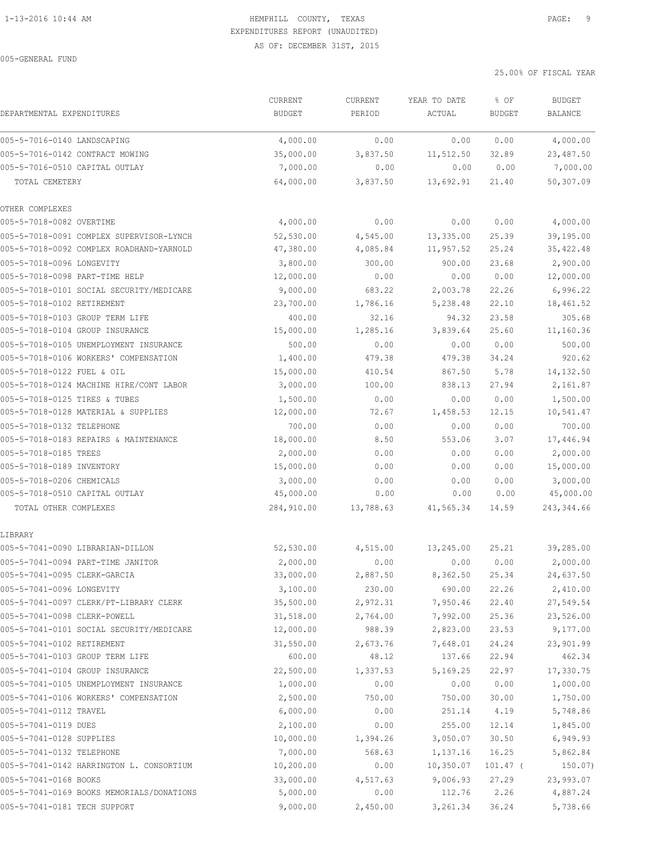|                                           | CURRENT       | <b>CURRENT</b> | YEAR TO DATE | % OF          | <b>BUDGET</b>  |
|-------------------------------------------|---------------|----------------|--------------|---------------|----------------|
| DEPARTMENTAL EXPENDITURES                 | <b>BUDGET</b> | PERIOD         | ACTUAL       | <b>BUDGET</b> | <b>BALANCE</b> |
| 005-5-7016-0140 LANDSCAPING               | 4,000.00      | 0.00           | 0.00         | 0.00          | 4,000.00       |
| 005-5-7016-0142 CONTRACT MOWING           | 35,000.00     | 3,837.50       | 11,512.50    | 32.89         | 23,487.50      |
| 005-5-7016-0510 CAPITAL OUTLAY            | 7,000.00      | 0.00           | 0.00         | 0.00          | 7,000.00       |
| TOTAL CEMETERY                            | 64,000.00     | 3,837.50       | 13,692.91    | 21.40         | 50,307.09      |
| OTHER COMPLEXES                           |               |                |              |               |                |
| 005-5-7018-0082 OVERTIME                  | 4,000.00      | 0.00           | 0.00         | 0.00          | 4,000.00       |
| 005-5-7018-0091 COMPLEX SUPERVISOR-LYNCH  | 52,530.00     | 4,545.00       | 13,335.00    | 25.39         | 39,195.00      |
| 005-5-7018-0092 COMPLEX ROADHAND-YARNOLD  | 47,380.00     | 4,085.84       | 11,957.52    | 25.24         | 35, 422.48     |
| 005-5-7018-0096 LONGEVITY                 | 3,800.00      | 300.00         | 900.00       | 23.68         | 2,900.00       |
| 005-5-7018-0098 PART-TIME HELP            | 12,000.00     | 0.00           | 0.00         | 0.00          | 12,000.00      |
| 005-5-7018-0101 SOCIAL SECURITY/MEDICARE  | 9,000.00      | 683.22         | 2,003.78     | 22.26         | 6,996.22       |
| 005-5-7018-0102 RETIREMENT                | 23,700.00     | 1,786.16       | 5,238.48     | 22.10         | 18,461.52      |
| 005-5-7018-0103 GROUP TERM LIFE           | 400.00        | 32.16          | 94.32        | 23.58         | 305.68         |
| 005-5-7018-0104 GROUP INSURANCE           | 15,000.00     | 1,285.16       | 3,839.64     | 25.60         | 11,160.36      |
| 005-5-7018-0105 UNEMPLOYMENT INSURANCE    | 500.00        | 0.00           | 0.00         | 0.00          | 500.00         |
| 005-5-7018-0106 WORKERS' COMPENSATION     | 1,400.00      | 479.38         | 479.38       | 34.24         | 920.62         |
| 005-5-7018-0122 FUEL & OIL                | 15,000.00     | 410.54         | 867.50       | 5.78          | 14,132.50      |
| 005-5-7018-0124 MACHINE HIRE/CONT LABOR   | 3,000.00      | 100.00         | 838.13       | 27.94         | 2,161.87       |
| 005-5-7018-0125 TIRES & TUBES             | 1,500.00      | 0.00           | 0.00         | 0.00          | 1,500.00       |
| 005-5-7018-0128 MATERIAL & SUPPLIES       | 12,000.00     | 72.67          | 1,458.53     | 12.15         | 10,541.47      |
| 005-5-7018-0132 TELEPHONE                 | 700.00        | 0.00           | 0.00         | 0.00          | 700.00         |
| 005-5-7018-0183 REPAIRS & MAINTENANCE     | 18,000.00     | 8.50           | 553.06       | 3.07          | 17,446.94      |
| 005-5-7018-0185 TREES                     | 2,000.00      | 0.00           | 0.00         | 0.00          | 2,000.00       |
| 005-5-7018-0189 INVENTORY                 | 15,000.00     | 0.00           | 0.00         | 0.00          | 15,000.00      |
| 005-5-7018-0206 CHEMICALS                 | 3,000.00      | 0.00           | 0.00         | 0.00          | 3,000.00       |
| 005-5-7018-0510 CAPITAL OUTLAY            | 45,000.00     | 0.00           | 0.00         | 0.00          | 45,000.00      |
| TOTAL OTHER COMPLEXES                     | 284,910.00    | 13,788.63      | 41,565.34    | 14.59         | 243,344.66     |
| LIBRARY                                   |               |                |              |               |                |
| 005-5-7041-0090 LIBRARIAN-DILLON          | 52, 530.00    | 4,515.00       | 13,245.00    | 25.21         | 39,285.00      |
| 005-5-7041-0094 PART-TIME JANITOR         | 2,000.00      | 0.00           | 0.00         | 0.00          | 2,000.00       |
| 005-5-7041-0095 CLERK-GARCIA              | 33,000.00     | 2,887.50       | 8,362.50     | 25.34         | 24,637.50      |
| 005-5-7041-0096 LONGEVITY                 | 3,100.00      | 230.00         | 690.00       | 22.26         | 2,410.00       |
| 005-5-7041-0097 CLERK/PT-LIBRARY CLERK    | 35,500.00     | 2,972.31       | 7,950.46     | 22.40         | 27,549.54      |
| 005-5-7041-0098 CLERK-POWELL              | 31,518.00     | 2,764.00       | 7,992.00     | 25.36         | 23,526.00      |
| 005-5-7041-0101 SOCIAL SECURITY/MEDICARE  | 12,000.00     | 988.39         | 2,823.00     | 23.53         | 9,177.00       |
| 005-5-7041-0102 RETIREMENT                | 31,550.00     | 2,673.76       | 7,648.01     | 24.24         | 23,901.99      |
| 005-5-7041-0103 GROUP TERM LIFE           | 600.00        | 48.12          | 137.66       | 22.94         | 462.34         |
| 005-5-7041-0104 GROUP INSURANCE           | 22,500.00     | 1,337.53       | 5,169.25     | 22.97         | 17,330.75      |
| 005-5-7041-0105 UNEMPLOYMENT INSURANCE    | 1,000.00      | 0.00           | 0.00         | 0.00          | 1,000.00       |
| 005-5-7041-0106 WORKERS' COMPENSATION     | 2,500.00      | 750.00         | 750.00       | 30.00         | 1,750.00       |
| 005-5-7041-0112 TRAVEL                    | 6,000.00      | 0.00           | 251.14       | 4.19          | 5,748.86       |
| 005-5-7041-0119 DUES                      | 2,100.00      | 0.00           | 255.00       | 12.14         | 1,845.00       |
| 005-5-7041-0128 SUPPLIES                  | 10,000.00     | 1,394.26       | 3,050.07     | 30.50         | 6,949.93       |
| 005-5-7041-0132 TELEPHONE                 | 7,000.00      | 568.63         | 1,137.16     | 16.25         | 5,862.84       |
| 005-5-7041-0142 HARRINGTON L. CONSORTIUM  | 10, 200.00    | 0.00           | 10, 350.07   | 101.47 (      | 150.07)        |
| 005-5-7041-0168 BOOKS                     | 33,000.00     | 4,517.63       | 9,006.93     | 27.29         | 23,993.07      |
| 005-5-7041-0169 BOOKS MEMORIALS/DONATIONS | 5,000.00      | 0.00           | 112.76       | 2.26          | 4,887.24       |
| 005-5-7041-0181 TECH SUPPORT              | 9,000.00      | 2,450.00       | 3,261.34     | 36.24         | 5,738.66       |
|                                           |               |                |              |               |                |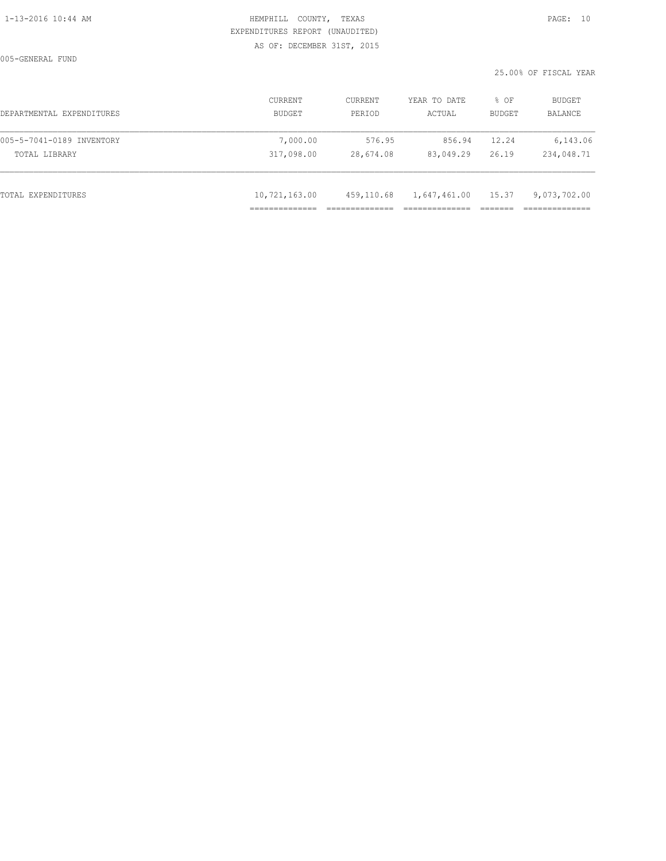005-GENERAL FUND

| DEPARTMENTAL EXPENDITURES | CURRENT<br>BUDGET | <b>CURRENT</b><br>PERIOD | YEAR TO DATE<br>ACTUAL | % OF<br>BUDGET | <b>BUDGET</b><br>BALANCE |
|---------------------------|-------------------|--------------------------|------------------------|----------------|--------------------------|
| 005-5-7041-0189 INVENTORY | 7,000.00          | 576.95                   | 856.94                 | 12.24          | 6,143.06                 |
| TOTAL LIBRARY             | 317,098.00        | 28,674.08                | 83,049.29              | 26.19          | 234,048.71               |
|                           |                   |                          |                        |                |                          |
| TOTAL EXPENDITURES        | 10,721,163.00     | 459,110.68               | 1,647,461.00 15.37     |                | 9,073,702.00             |
|                           |                   |                          |                        |                |                          |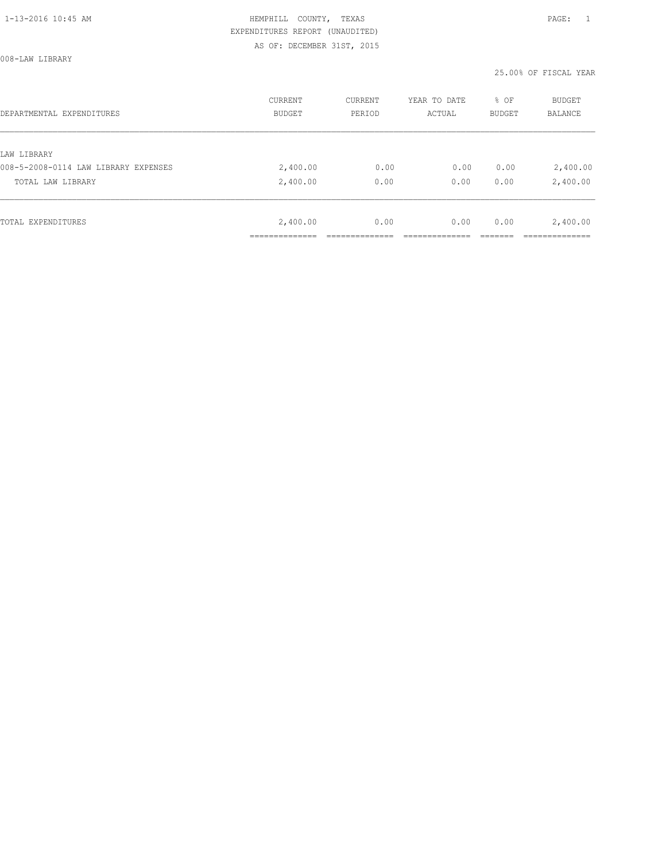008-LAW LIBRARY

| DEPARTMENTAL EXPENDITURES            | CURRENT<br><b>BUDGET</b> | CURRENT<br>PERIOD | YEAR TO DATE<br>ACTUAL | % OF<br>BUDGET | <b>BUDGET</b><br><b>BALANCE</b> |
|--------------------------------------|--------------------------|-------------------|------------------------|----------------|---------------------------------|
|                                      |                          |                   |                        |                |                                 |
| LAW LIBRARY                          |                          |                   |                        |                |                                 |
| 008-5-2008-0114 LAW LIBRARY EXPENSES | 2,400.00                 | 0.00              | 0.00                   | 0.00           | 2,400.00                        |
| TOTAL LAW LIBRARY                    | 2,400.00                 | 0.00              | 0.00                   | 0.00           | 2,400.00                        |
|                                      |                          |                   |                        |                |                                 |
| TOTAL EXPENDITURES                   | 2,400.00                 | 0.00              | 0.00                   | 0.00           | 2,400.00                        |
|                                      |                          |                   |                        |                |                                 |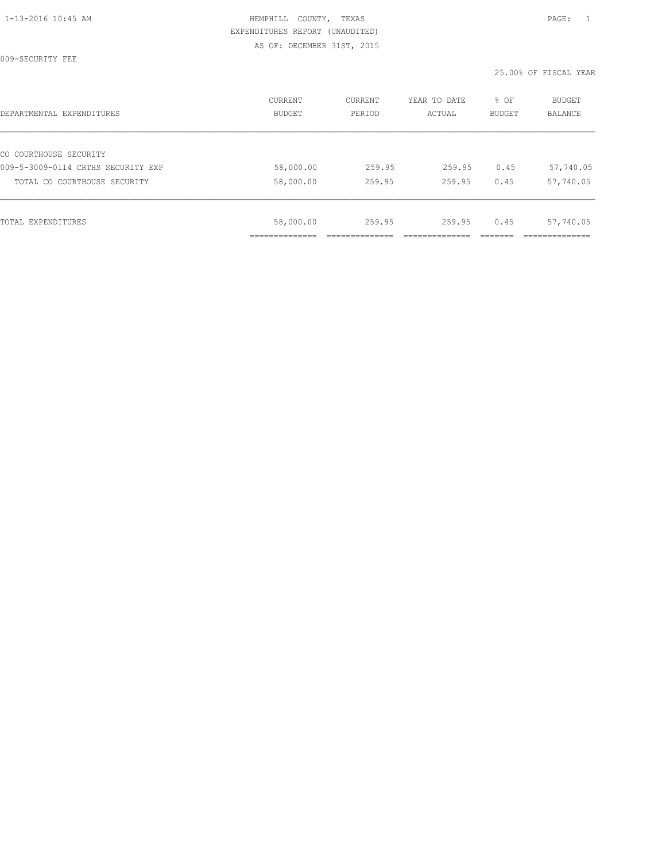009-SECURITY FEE

|           |        |        | BUDGET | BALANCE   |
|-----------|--------|--------|--------|-----------|
|           |        |        |        |           |
| 58,000.00 | 259.95 | 259.95 | 0.45   | 57,740.05 |
| 58,000.00 | 259.95 | 259.95 | 0.45   | 57,740.05 |
| 58,000.00 | 259.95 | 259.95 | 0.45   | 57,740.05 |
|           |        |        |        |           |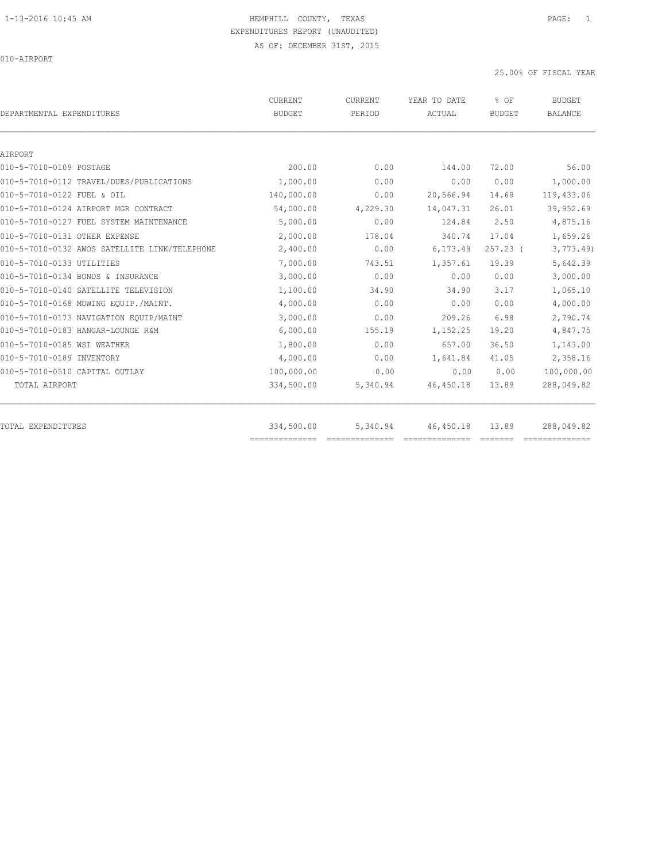010-AIRPORT

|            | PERIOD                    | ACTUAL     | <b>BUDGET</b>                                                                                                                                                                                                                                                                                                                                                                                                                                                                                    | <b>BALANCE</b> |
|------------|---------------------------|------------|--------------------------------------------------------------------------------------------------------------------------------------------------------------------------------------------------------------------------------------------------------------------------------------------------------------------------------------------------------------------------------------------------------------------------------------------------------------------------------------------------|----------------|
|            |                           |            |                                                                                                                                                                                                                                                                                                                                                                                                                                                                                                  |                |
|            |                           |            |                                                                                                                                                                                                                                                                                                                                                                                                                                                                                                  |                |
|            |                           |            |                                                                                                                                                                                                                                                                                                                                                                                                                                                                                                  | 56.00          |
| 1,000.00   | 0.00                      | 0.00       | 0.00                                                                                                                                                                                                                                                                                                                                                                                                                                                                                             | 1,000.00       |
| 140,000.00 | 0.00                      | 20,566.94  | 14.69                                                                                                                                                                                                                                                                                                                                                                                                                                                                                            | 119,433.06     |
| 54,000.00  | 4,229.30                  | 14,047.31  | 26.01                                                                                                                                                                                                                                                                                                                                                                                                                                                                                            | 39,952.69      |
| 5,000.00   | 0.00                      | 124.84     | 2.50                                                                                                                                                                                                                                                                                                                                                                                                                                                                                             | 4,875.16       |
| 2,000.00   | 178.04                    | 340.74     | 17.04                                                                                                                                                                                                                                                                                                                                                                                                                                                                                            | 1,659.26       |
| 2,400.00   | 0.00                      | 6,173.49   | $257.23$ (                                                                                                                                                                                                                                                                                                                                                                                                                                                                                       | 3,773.49       |
| 7,000.00   | 743.51                    | 1,357.61   | 19.39                                                                                                                                                                                                                                                                                                                                                                                                                                                                                            | 5,642.39       |
| 3,000.00   | 0.00                      | 0.00       | 0.00                                                                                                                                                                                                                                                                                                                                                                                                                                                                                             | 3,000.00       |
| 1,100.00   | 34.90                     | 34.90      | 3.17                                                                                                                                                                                                                                                                                                                                                                                                                                                                                             | 1,065.10       |
| 4,000.00   | 0.00                      | 0.00       | 0.00                                                                                                                                                                                                                                                                                                                                                                                                                                                                                             | 4,000.00       |
| 3,000.00   | 0.00                      | 209.26     | 6.98                                                                                                                                                                                                                                                                                                                                                                                                                                                                                             | 2,790.74       |
| 6,000.00   | 155.19                    | 1,152.25   | 19.20                                                                                                                                                                                                                                                                                                                                                                                                                                                                                            | 4,847.75       |
| 1,800.00   | 0.00                      | 657.00     | 36.50                                                                                                                                                                                                                                                                                                                                                                                                                                                                                            | 1,143.00       |
| 4,000.00   | 0.00                      | 1,641.84   | 41.05                                                                                                                                                                                                                                                                                                                                                                                                                                                                                            | 2,358.16       |
| 100,000.00 | 0.00                      | 0.00       | 0.00                                                                                                                                                                                                                                                                                                                                                                                                                                                                                             | 100,000.00     |
| 334,500.00 | 5,340.94                  | 46, 450.18 | 13.89                                                                                                                                                                                                                                                                                                                                                                                                                                                                                            | 288,049.82     |
| 334,500.00 | 5,340.94                  | 46, 450.18 | 13.89                                                                                                                                                                                                                                                                                                                                                                                                                                                                                            | 288,049.82     |
|            | 200.00<br>--------------- | 0.00       | 144.00<br>$\begin{array}{cccccccccccccc} \multicolumn{2}{c}{} & \multicolumn{2}{c}{} & \multicolumn{2}{c}{} & \multicolumn{2}{c}{} & \multicolumn{2}{c}{} & \multicolumn{2}{c}{} & \multicolumn{2}{c}{} & \multicolumn{2}{c}{} & \multicolumn{2}{c}{} & \multicolumn{2}{c}{} & \multicolumn{2}{c}{} & \multicolumn{2}{c}{} & \multicolumn{2}{c}{} & \multicolumn{2}{c}{} & \multicolumn{2}{c}{} & \multicolumn{2}{c}{} & \multicolumn{2}{c}{} & \multicolumn{2}{c}{} & \multicolumn{2}{c}{} & \$ | 72.00          |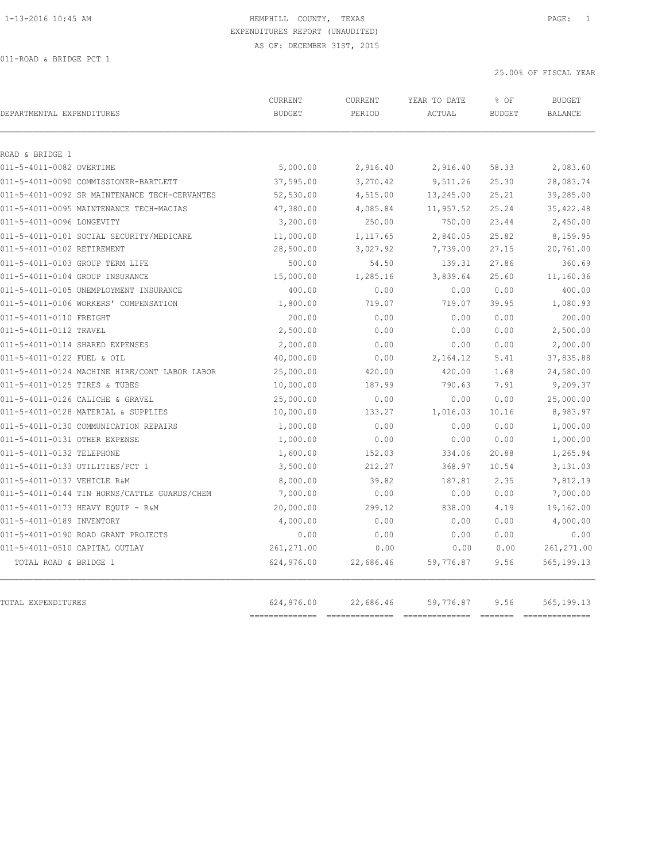| DEPARTMENTAL EXPENDITURES                     | CURRENT<br><b>BUDGET</b> | <b>CURRENT</b><br>PERIOD | YEAR TO DATE<br>ACTUAL | % OF<br><b>BUDGET</b> | <b>BUDGET</b><br><b>BALANCE</b> |
|-----------------------------------------------|--------------------------|--------------------------|------------------------|-----------------------|---------------------------------|
| ROAD & BRIDGE 1                               |                          |                          |                        |                       |                                 |
| 011-5-4011-0082 OVERTIME                      | 5,000.00                 | 2,916.40                 | 2,916.40               | 58.33                 | 2,083.60                        |
| 011-5-4011-0090 COMMISSIONER-BARTLETT         | 37,595.00                | 3,270.42                 | 9,511.26               | 25.30                 | 28,083.74                       |
| 011-5-4011-0092 SR MAINTENANCE TECH-CERVANTES | 52,530.00                | 4,515.00                 | 13,245.00              | 25.21                 | 39,285.00                       |
| 011-5-4011-0095 MAINTENANCE TECH-MACIAS       | 47,380.00                | 4,085.84                 | 11,957.52              | 25.24                 | 35, 422.48                      |
| 011-5-4011-0096 LONGEVITY                     | 3,200.00                 | 250.00                   | 750.00                 | 23.44                 | 2,450.00                        |
| 011-5-4011-0101 SOCIAL SECURITY/MEDICARE      | 11,000.00                | 1,117.65                 | 2,840.05               | 25.82                 | 8,159.95                        |
| 011-5-4011-0102 RETIREMENT                    | 28,500.00                | 3,027.92                 | 7,739.00               | 27.15                 | 20,761.00                       |
| 011-5-4011-0103 GROUP TERM LIFE               | 500.00                   | 54.50                    | 139.31                 | 27.86                 | 360.69                          |
| 011-5-4011-0104 GROUP INSURANCE               | 15,000.00                | 1,285.16                 | 3,839.64               | 25.60                 | 11,160.36                       |
| 011-5-4011-0105 UNEMPLOYMENT INSURANCE        | 400.00                   | 0.00                     | 0.00                   | 0.00                  | 400.00                          |
| 011-5-4011-0106 WORKERS' COMPENSATION         | 1,800.00                 | 719.07                   | 719.07                 | 39.95                 | 1,080.93                        |
| 011-5-4011-0110 FREIGHT                       | 200.00                   | 0.00                     | 0.00                   | 0.00                  | 200.00                          |
| 011-5-4011-0112 TRAVEL                        | 2,500.00                 | 0.00                     | 0.00                   | 0.00                  | 2,500.00                        |
| 011-5-4011-0114 SHARED EXPENSES               | 2,000.00                 | 0.00                     | 0.00                   | 0.00                  | 2,000.00                        |
| 011-5-4011-0122 FUEL & OIL                    | 40,000.00                | 0.00                     | 2,164.12               | 5.41                  | 37,835.88                       |
| 011-5-4011-0124 MACHINE HIRE/CONT LABOR LABOR | 25,000.00                | 420.00                   | 420.00                 | 1.68                  | 24,580.00                       |
| 011-5-4011-0125 TIRES & TUBES                 | 10,000.00                | 187.99                   | 790.63                 | 7.91                  | 9,209.37                        |
| 011-5-4011-0126 CALICHE & GRAVEL              | 25,000.00                | 0.00                     | 0.00                   | 0.00                  | 25,000.00                       |
| 011-5-4011-0128 MATERIAL & SUPPLIES           | 10,000.00                | 133.27                   | 1,016.03               | 10.16                 | 8,983.97                        |
| 011-5-4011-0130 COMMUNICATION REPAIRS         | 1,000.00                 | 0.00                     | 0.00                   | 0.00                  | 1,000.00                        |
| 011-5-4011-0131 OTHER EXPENSE                 | 1,000.00                 | 0.00                     | 0.00                   | 0.00                  | 1,000.00                        |
| 011-5-4011-0132 TELEPHONE                     | 1,600.00                 | 152.03                   | 334.06                 | 20.88                 | 1,265.94                        |
| 011-5-4011-0133 UTILITIES/PCT 1               | 3,500.00                 | 212.27                   | 368.97                 | 10.54                 | 3,131.03                        |
| 011-5-4011-0137 VEHICLE R&M                   | 8,000.00                 | 39.82                    | 187.81                 | 2.35                  | 7,812.19                        |
| 011-5-4011-0144 TIN HORNS/CATTLE GUARDS/CHEM  | 7,000.00                 | 0.00                     | 0.00                   | 0.00                  | 7,000.00                        |
| 011-5-4011-0173 HEAVY EQUIP - R&M             | 20,000.00                | 299.12                   | 838.00                 | 4.19                  | 19,162.00                       |
| 011-5-4011-0189 INVENTORY                     | 4,000.00                 | 0.00                     | 0.00                   | 0.00                  | 4,000.00                        |
| 011-5-4011-0190 ROAD GRANT PROJECTS           | 0.00                     | 0.00                     | 0.00                   | 0.00                  | 0.00                            |
| 011-5-4011-0510 CAPITAL OUTLAY                | 261,271.00               | 0.00                     | 0.00                   | 0.00                  | 261,271.00                      |
| TOTAL ROAD & BRIDGE 1                         | 624,976.00               | 22,686.46                | 59,776.87              | 9.56                  | 565, 199. 13                    |
| <b>TOTAL EXPENDITURES</b>                     | 624,976.00               | 22,686.46                | 59,776.87              | 9.56                  | 565, 199. 13                    |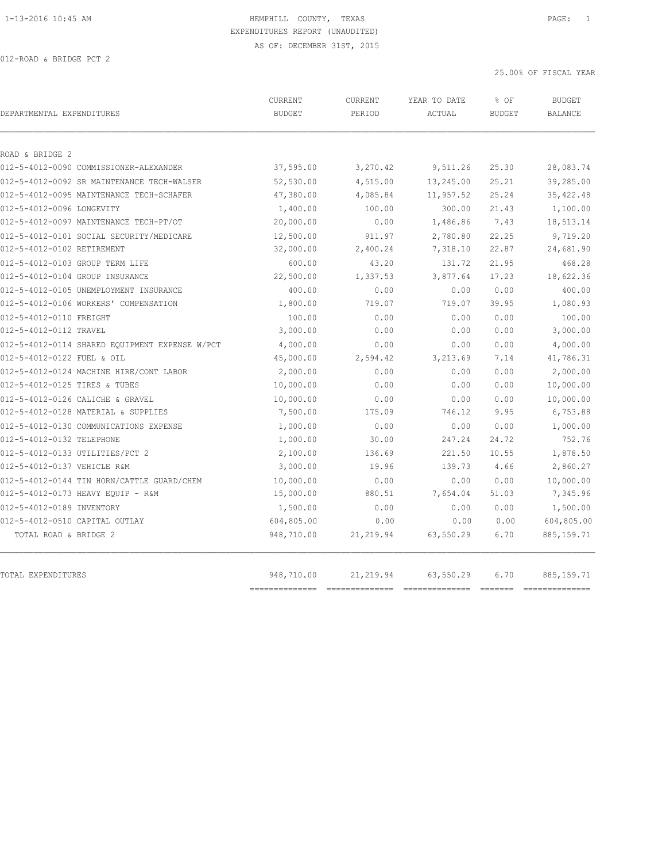| DEPARTMENTAL EXPENDITURES                      | CURRENT<br><b>BUDGET</b> | CURRENT<br>PERIOD | YEAR TO DATE<br>ACTUAL | % OF<br><b>BUDGET</b> | <b>BUDGET</b><br>BALANCE |
|------------------------------------------------|--------------------------|-------------------|------------------------|-----------------------|--------------------------|
|                                                |                          |                   |                        |                       |                          |
| ROAD & BRIDGE 2                                |                          |                   |                        |                       |                          |
| 012-5-4012-0090 COMMISSIONER-ALEXANDER         | 37,595.00                | 3,270.42          | 9,511.26               | 25.30                 | 28,083.74                |
| 012-5-4012-0092 SR MAINTENANCE TECH-WALSER     | 52,530.00                | 4,515.00          | 13,245.00              | 25.21                 | 39,285.00                |
| 012-5-4012-0095 MAINTENANCE TECH-SCHAFER       | 47,380.00                | 4,085.84          | 11,957.52              | 25.24                 | 35, 422.48               |
| 012-5-4012-0096 LONGEVITY                      | 1,400.00                 | 100.00            | 300.00                 | 21.43                 | 1,100.00                 |
| 012-5-4012-0097 MAINTENANCE TECH-PT/OT         | 20,000.00                | 0.00              | 1,486.86               | 7.43                  | 18,513.14                |
| 012-5-4012-0101 SOCIAL SECURITY/MEDICARE       | 12,500.00                | 911.97            | 2,780.80               | 22.25                 | 9,719.20                 |
| 012-5-4012-0102 RETIREMENT                     | 32,000.00                | 2,400.24          | 7,318.10               | 22.87                 | 24,681.90                |
| 012-5-4012-0103 GROUP TERM LIFE                | 600.00                   | 43.20             | 131.72                 | 21.95                 | 468.28                   |
| 012-5-4012-0104 GROUP INSURANCE                | 22,500.00                | 1,337.53          | 3,877.64               | 17.23                 | 18,622.36                |
| 012-5-4012-0105 UNEMPLOYMENT INSURANCE         | 400.00                   | 0.00              | 0.00                   | 0.00                  | 400.00                   |
| 012-5-4012-0106 WORKERS' COMPENSATION          | 1,800.00                 | 719.07            | 719.07                 | 39.95                 | 1,080.93                 |
| 012-5-4012-0110 FREIGHT                        | 100.00                   | 0.00              | 0.00                   | 0.00                  | 100.00                   |
| 012-5-4012-0112 TRAVEL                         | 3,000.00                 | 0.00              | 0.00                   | 0.00                  | 3,000.00                 |
| 012-5-4012-0114 SHARED EQUIPMENT EXPENSE W/PCT | 4,000.00                 | 0.00              | 0.00                   | 0.00                  | 4,000.00                 |
| 012-5-4012-0122 FUEL & OIL                     | 45,000.00                | 2,594.42          | 3,213.69               | 7.14                  | 41,786.31                |
| 012-5-4012-0124 MACHINE HIRE/CONT LABOR        | 2,000.00                 | 0.00              | 0.00                   | 0.00                  | 2,000.00                 |
| 012-5-4012-0125 TIRES & TUBES                  | 10,000.00                | 0.00              | 0.00                   | 0.00                  | 10,000.00                |
| 012-5-4012-0126 CALICHE & GRAVEL               | 10,000.00                | 0.00              | 0.00                   | 0.00                  | 10,000.00                |
| 012-5-4012-0128 MATERIAL & SUPPLIES            | 7,500.00                 | 175.09            | 746.12                 | 9.95                  | 6,753.88                 |
| 012-5-4012-0130 COMMUNICATIONS EXPENSE         | 1,000.00                 | 0.00              | 0.00                   | 0.00                  | 1,000.00                 |
| 012-5-4012-0132 TELEPHONE                      | 1,000.00                 | 30.00             | 247.24                 | 24.72                 | 752.76                   |
| 012-5-4012-0133 UTILITIES/PCT 2                | 2,100.00                 | 136.69            | 221.50                 | 10.55                 | 1,878.50                 |
| 012-5-4012-0137 VEHICLE R&M                    | 3,000.00                 | 19.96             | 139.73                 | 4.66                  | 2,860.27                 |
| 012-5-4012-0144 TIN HORN/CATTLE GUARD/CHEM     | 10,000.00                | 0.00              | 0.00                   | 0.00                  | 10,000.00                |
| 012-5-4012-0173 HEAVY EQUIP - R&M              | 15,000.00                | 880.51            | 7,654.04               | 51.03                 | 7,345.96                 |
| 012-5-4012-0189 INVENTORY                      | 1,500.00                 | 0.00              | 0.00                   | 0.00                  | 1,500.00                 |
| 012-5-4012-0510 CAPITAL OUTLAY                 | 604,805.00               | 0.00              | 0.00                   | 0.00                  | 604,805.00               |
| TOTAL ROAD & BRIDGE 2                          | 948,710.00               | 21, 219.94        | 63,550.29              | 6.70                  | 885, 159.71              |
| TOTAL EXPENDITURES                             | 948,710.00               | 21, 219.94        | 63,550.29              | 6.70                  | 885, 159. 71             |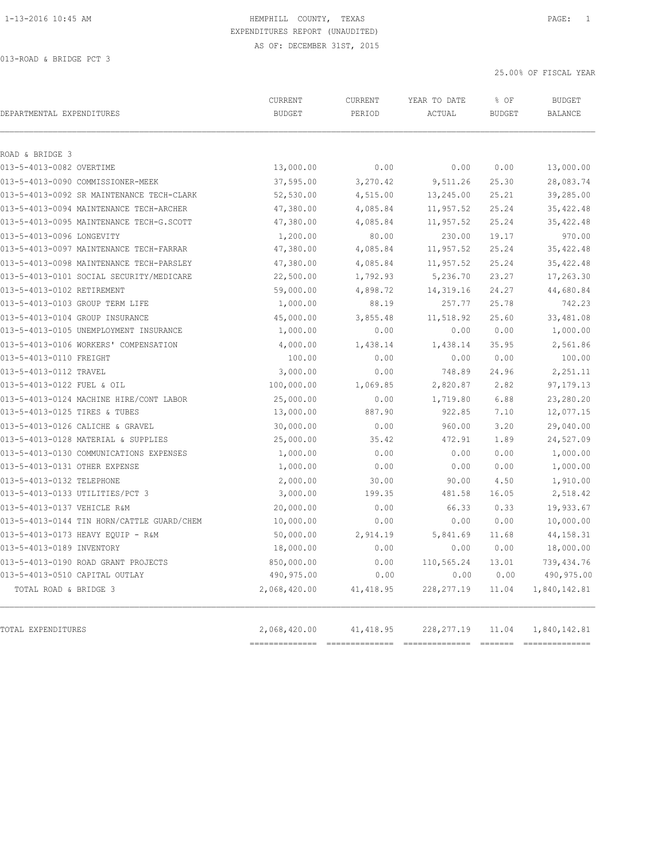25.00% OF FISCAL YEAR

| DEPARTMENTAL EXPENDITURES                  | <b>CURRENT</b><br><b>BUDGET</b> | <b>CURRENT</b><br>PERIOD | YEAR TO DATE<br>ACTUAL | % OF<br><b>BUDGET</b> | <b>BUDGET</b><br><b>BALANCE</b> |
|--------------------------------------------|---------------------------------|--------------------------|------------------------|-----------------------|---------------------------------|
|                                            |                                 |                          |                        |                       |                                 |
| ROAD & BRIDGE 3                            |                                 |                          |                        |                       |                                 |
| 013-5-4013-0082 OVERTIME                   | 13,000.00                       | 0.00                     | 0.00                   | 0.00                  | 13,000.00                       |
| 013-5-4013-0090 COMMISSIONER-MEEK          | 37,595.00                       | 3,270.42                 | 9,511.26               | 25.30                 | 28,083.74                       |
| 013-5-4013-0092 SR MAINTENANCE TECH-CLARK  | 52,530.00                       | 4,515.00                 | 13,245.00              | 25.21                 | 39,285.00                       |
| 013-5-4013-0094 MAINTENANCE TECH-ARCHER    | 47,380.00                       | 4,085.84                 | 11,957.52              | 25.24                 | 35, 422.48                      |
| 013-5-4013-0095 MAINTENANCE TECH-G.SCOTT   | 47,380.00                       | 4,085.84                 | 11,957.52              | 25.24                 | 35, 422.48                      |
| 013-5-4013-0096 LONGEVITY                  | 1,200.00                        | 80.00                    | 230.00                 | 19.17                 | 970.00                          |
| 013-5-4013-0097 MAINTENANCE TECH-FARRAR    | 47,380.00                       | 4,085.84                 | 11,957.52              | 25.24                 | 35, 422.48                      |
| 013-5-4013-0098 MAINTENANCE TECH-PARSLEY   | 47,380.00                       | 4,085.84                 | 11,957.52              | 25.24                 | 35, 422.48                      |
| 013-5-4013-0101 SOCIAL SECURITY/MEDICARE   | 22,500.00                       | 1,792.93                 | 5,236.70               | 23.27                 | 17,263.30                       |
| 013-5-4013-0102 RETIREMENT                 | 59,000.00                       | 4,898.72                 | 14,319.16              | 24.27                 | 44,680.84                       |
| 013-5-4013-0103 GROUP TERM LIFE            | 1,000.00                        | 88.19                    | 257.77                 | 25.78                 | 742.23                          |
| 013-5-4013-0104 GROUP INSURANCE            | 45,000.00                       | 3,855.48                 | 11,518.92              | 25.60                 | 33,481.08                       |
| 013-5-4013-0105 UNEMPLOYMENT INSURANCE     | 1,000.00                        | 0.00                     | 0.00                   | 0.00                  | 1,000.00                        |
| 013-5-4013-0106 WORKERS' COMPENSATION      | 4,000.00                        | 1,438.14                 | 1,438.14               | 35.95                 | 2,561.86                        |
| 013-5-4013-0110 FREIGHT                    | 100.00                          | 0.00                     | 0.00                   | 0.00                  | 100.00                          |
| 013-5-4013-0112 TRAVEL                     | 3,000.00                        | 0.00                     | 748.89                 | 24.96                 | 2,251.11                        |
| 013-5-4013-0122 FUEL & OIL                 | 100,000.00                      | 1,069.85                 | 2,820.87               | 2.82                  | 97, 179. 13                     |
| 013-5-4013-0124 MACHINE HIRE/CONT LABOR    | 25,000.00                       | 0.00                     | 1,719.80               | 6.88                  | 23,280.20                       |
| 013-5-4013-0125 TIRES & TUBES              | 13,000.00                       | 887.90                   | 922.85                 | 7.10                  | 12,077.15                       |
| 013-5-4013-0126 CALICHE & GRAVEL           | 30,000.00                       | 0.00                     | 960.00                 | 3.20                  | 29,040.00                       |
| 013-5-4013-0128 MATERIAL & SUPPLIES        | 25,000.00                       | 35.42                    | 472.91                 | 1.89                  | 24,527.09                       |
| 013-5-4013-0130 COMMUNICATIONS EXPENSES    | 1,000.00                        | 0.00                     | 0.00                   | 0.00                  | 1,000.00                        |
| 013-5-4013-0131 OTHER EXPENSE              | 1,000.00                        | 0.00                     | 0.00                   | 0.00                  | 1,000.00                        |
| 013-5-4013-0132 TELEPHONE                  | 2,000.00                        | 30.00                    | 90.00                  | 4.50                  | 1,910.00                        |
| 013-5-4013-0133 UTILITIES/PCT 3            | 3,000.00                        | 199.35                   | 481.58                 | 16.05                 | 2,518.42                        |
| 013-5-4013-0137 VEHICLE R&M                | 20,000.00                       | 0.00                     | 66.33                  | 0.33                  | 19,933.67                       |
| 013-5-4013-0144 TIN HORN/CATTLE GUARD/CHEM | 10,000.00                       | 0.00                     | 0.00                   | 0.00                  | 10,000.00                       |
| 013-5-4013-0173 HEAVY EQUIP - R&M          | 50,000.00                       | 2,914.19                 | 5,841.69               | 11.68                 | 44, 158. 31                     |
| 013-5-4013-0189 INVENTORY                  | 18,000.00                       | 0.00                     | 0.00                   | 0.00                  | 18,000.00                       |
| 013-5-4013-0190 ROAD GRANT PROJECTS        | 850,000.00                      | 0.00                     | 110,565.24             | 13.01                 | 739, 434.76                     |
| 013-5-4013-0510 CAPITAL OUTLAY             | 490,975.00                      | 0.00                     | 0.00                   | 0.00                  | 490,975.00                      |
| TOTAL ROAD & BRIDGE 3                      | 2,068,420.00                    | 41, 418.95               | 228, 277.19            | 11.04                 | 1,840,142.81                    |
|                                            |                                 |                          |                        |                       |                                 |
| TOTAL EXPENDITURES                         | 2,068,420.00                    | 41, 418.95               | 228, 277.19            | 11.04                 | 1,840,142.81                    |

============== ============== ============== ======= ==============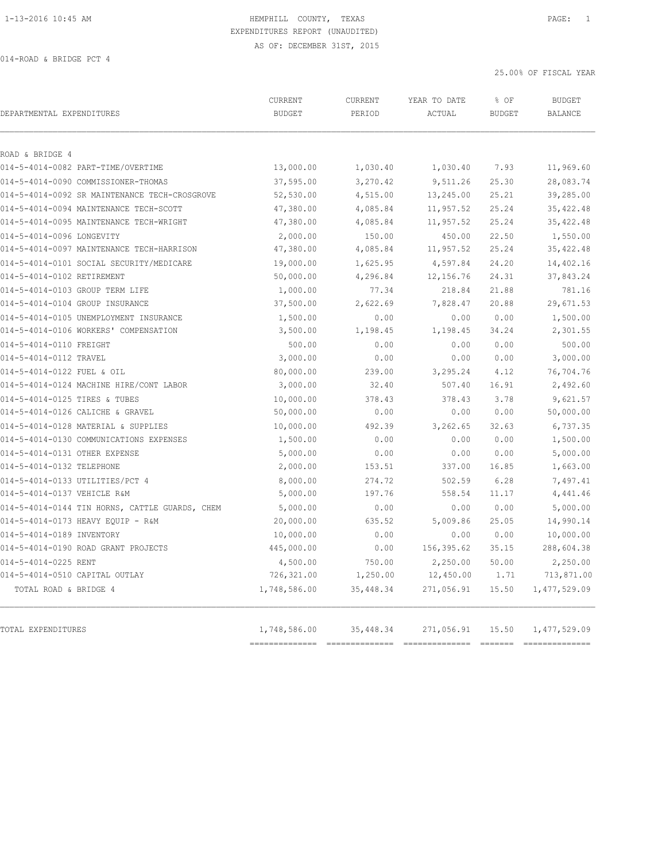25.00% OF FISCAL YEAR

| DEPARTMENTAL EXPENDITURES                      | CURRENT<br><b>BUDGET</b> | CURRENT<br>PERIOD | YEAR TO DATE<br>ACTUAL | % OF<br><b>BUDGET</b> | <b>BUDGET</b><br><b>BALANCE</b> |
|------------------------------------------------|--------------------------|-------------------|------------------------|-----------------------|---------------------------------|
|                                                |                          |                   |                        |                       |                                 |
| ROAD & BRIDGE 4                                |                          |                   |                        |                       |                                 |
| 014-5-4014-0082 PART-TIME/OVERTIME             | 13,000.00                | 1,030.40          | 1,030.40               | 7.93                  | 11,969.60                       |
| 014-5-4014-0090 COMMISSIONER-THOMAS            | 37,595.00                | 3,270.42          | 9,511.26               | 25.30                 | 28,083.74                       |
| 014-5-4014-0092 SR MAINTENANCE TECH-CROSGROVE  | 52,530.00                | 4,515.00          | 13,245.00              | 25.21                 | 39,285.00                       |
| 014-5-4014-0094 MAINTENANCE TECH-SCOTT         | 47,380.00                | 4,085.84          | 11,957.52              | 25.24                 | 35, 422.48                      |
| 014-5-4014-0095 MAINTENANCE TECH-WRIGHT        | 47,380.00                | 4,085.84          | 11,957.52              | 25.24                 | 35, 422.48                      |
| 014-5-4014-0096 LONGEVITY                      | 2,000.00                 | 150.00            | 450.00                 | 22.50                 | 1,550.00                        |
| 014-5-4014-0097 MAINTENANCE TECH-HARRISON      | 47,380.00                | 4,085.84          | 11,957.52              | 25.24                 | 35, 422.48                      |
| 014-5-4014-0101 SOCIAL SECURITY/MEDICARE       | 19,000.00                | 1,625.95          | 4,597.84               | 24.20                 | 14,402.16                       |
| 014-5-4014-0102 RETIREMENT                     | 50,000.00                | 4,296.84          | 12, 156.76             | 24.31                 | 37,843.24                       |
| 014-5-4014-0103 GROUP TERM LIFE                | 1,000.00                 | 77.34             | 218.84                 | 21.88                 | 781.16                          |
| 014-5-4014-0104 GROUP INSURANCE                | 37,500.00                | 2,622.69          | 7,828.47               | 20.88                 | 29,671.53                       |
| 014-5-4014-0105 UNEMPLOYMENT INSURANCE         | 1,500.00                 | 0.00              | 0.00                   | 0.00                  | 1,500.00                        |
| 014-5-4014-0106 WORKERS' COMPENSATION          | 3,500.00                 | 1,198.45          | 1,198.45               | 34.24                 | 2,301.55                        |
| 014-5-4014-0110 FREIGHT                        | 500.00                   | 0.00              | 0.00                   | 0.00                  | 500.00                          |
| 014-5-4014-0112 TRAVEL                         | 3,000.00                 | 0.00              | 0.00                   | 0.00                  | 3,000.00                        |
| 014-5-4014-0122 FUEL & OIL                     | 80,000.00                | 239.00            | 3,295.24               | 4.12                  | 76,704.76                       |
| 014-5-4014-0124 MACHINE HIRE/CONT LABOR        | 3,000.00                 | 32.40             | 507.40                 | 16.91                 | 2,492.60                        |
| 014-5-4014-0125 TIRES & TUBES                  | 10,000.00                | 378.43            | 378.43                 | 3.78                  | 9,621.57                        |
| 014-5-4014-0126 CALICHE & GRAVEL               | 50,000.00                | 0.00              | 0.00                   | 0.00                  | 50,000.00                       |
| 014-5-4014-0128 MATERIAL & SUPPLIES            | 10,000.00                | 492.39            | 3,262.65               | 32.63                 | 6,737.35                        |
| 014-5-4014-0130 COMMUNICATIONS EXPENSES        | 1,500.00                 | 0.00              | 0.00                   | 0.00                  | 1,500.00                        |
| 014-5-4014-0131 OTHER EXPENSE                  | 5,000.00                 | 0.00              | 0.00                   | 0.00                  | 5,000.00                        |
| 014-5-4014-0132 TELEPHONE                      | 2,000.00                 | 153.51            | 337.00                 | 16.85                 | 1,663.00                        |
| 014-5-4014-0133 UTILITIES/PCT 4                | 8,000.00                 | 274.72            | 502.59                 | 6.28                  | 7,497.41                        |
| 014-5-4014-0137 VEHICLE R&M                    | 5,000.00                 | 197.76            | 558.54                 | 11.17                 | 4,441.46                        |
| 014-5-4014-0144 TIN HORNS, CATTLE GUARDS, CHEM | 5,000.00                 | 0.00              | 0.00                   | 0.00                  | 5,000.00                        |
| 014-5-4014-0173 HEAVY EQUIP - R&M              | 20,000.00                | 635.52            | 5,009.86               | 25.05                 | 14,990.14                       |
| 014-5-4014-0189 INVENTORY                      | 10,000.00                | 0.00              | 0.00                   | 0.00                  | 10,000.00                       |
| 014-5-4014-0190 ROAD GRANT PROJECTS            | 445,000.00               | 0.00              | 156,395.62             | 35.15                 | 288,604.38                      |
| 014-5-4014-0225 RENT                           | 4,500.00                 | 750.00            | 2,250.00               | 50.00                 | 2,250.00                        |
| 014-5-4014-0510 CAPITAL OUTLAY                 | 726,321.00               | 1,250.00          | 12,450.00              | 1.71                  | 713,871.00                      |
| TOTAL ROAD & BRIDGE 4                          | 1,748,586.00             | 35,448.34         | 271,056.91             | 15.50                 | 1, 477, 529.09                  |
| TOTAL EXPENDITURES                             | 1,748,586.00             | 35,448.34         | 271,056.91             | 15.50                 | 1, 477, 529.09                  |

============== ============== ============== ======= ==============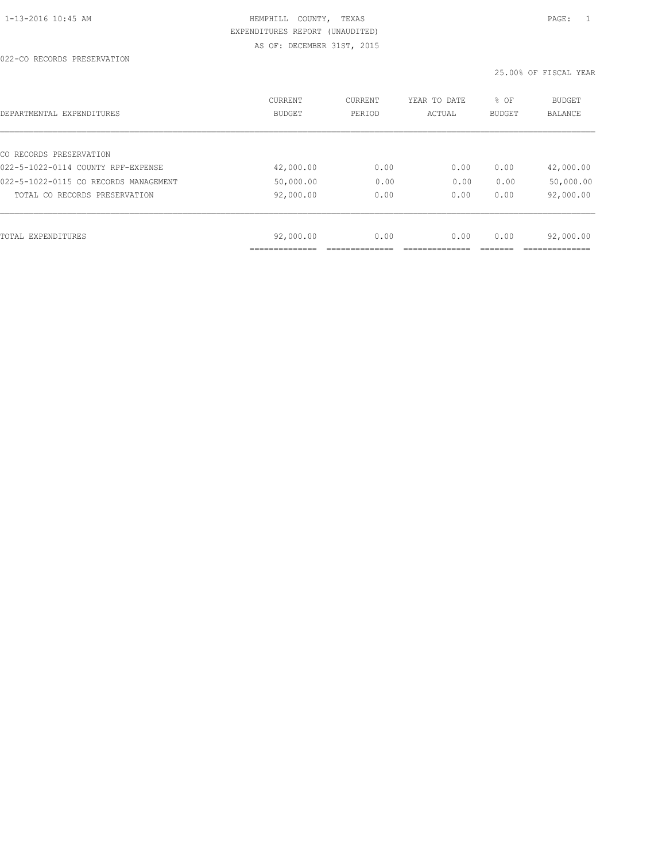022-CO RECORDS PRESERVATION

| DEPARTMENTAL EXPENDITURES             | <b>CURRENT</b><br><b>BUDGET</b> | CURRENT<br>PERIOD | YEAR TO DATE<br>ACTUAL | % OF<br><b>BUDGET</b> | <b>BUDGET</b><br>BALANCE |
|---------------------------------------|---------------------------------|-------------------|------------------------|-----------------------|--------------------------|
|                                       |                                 |                   |                        |                       |                          |
| CO RECORDS PRESERVATION               |                                 |                   |                        |                       |                          |
| 022-5-1022-0114 COUNTY RPF-EXPENSE    | 42,000.00                       | 0.00              | 0.00                   | 0.00                  | 42,000.00                |
| 022-5-1022-0115 CO RECORDS MANAGEMENT | 50,000.00                       | 0.00              | 0.00                   | 0.00                  | 50,000.00                |
| TOTAL CO RECORDS PRESERVATION         | 92,000.00                       | 0.00              | 0.00                   | 0.00                  | 92,000.00                |
|                                       |                                 |                   |                        |                       |                          |
| TOTAL EXPENDITURES                    | 92,000.00                       | 0.00              | 0.00                   | 0.00                  | 92,000.00                |
|                                       |                                 |                   |                        |                       |                          |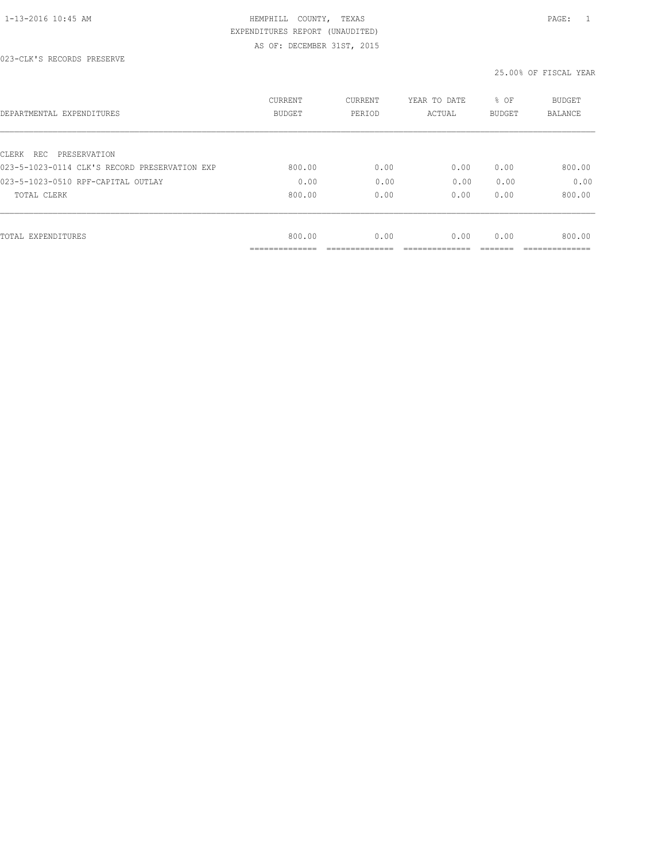| DEPARTMENTAL EXPENDITURES                     | <b>CURRENT</b><br><b>BUDGET</b> | CURRENT<br>PERIOD | YEAR TO DATE<br>ACTUAL | % OF<br>BUDGET | <b>BUDGET</b><br>BALANCE |
|-----------------------------------------------|---------------------------------|-------------------|------------------------|----------------|--------------------------|
| CLERK REC PRESERVATION                        |                                 |                   |                        |                |                          |
| 023-5-1023-0114 CLK'S RECORD PRESERVATION EXP | 800.00                          | 0.00              | 0.00                   | 0.00           | 800.00                   |
| 023-5-1023-0510 RPF-CAPITAL OUTLAY            | 0.00                            | 0.00              | 0.00                   | 0.00           | 0.00                     |
| TOTAL CLERK                                   | 800.00                          | 0.00              | 0.00                   | 0.00           | 800.00                   |
|                                               |                                 |                   |                        |                |                          |
| TOTAL EXPENDITURES                            | 800.00                          | 0.00              | 0.00                   | 0.00           | 800.00                   |
|                                               | .                               |                   |                        |                |                          |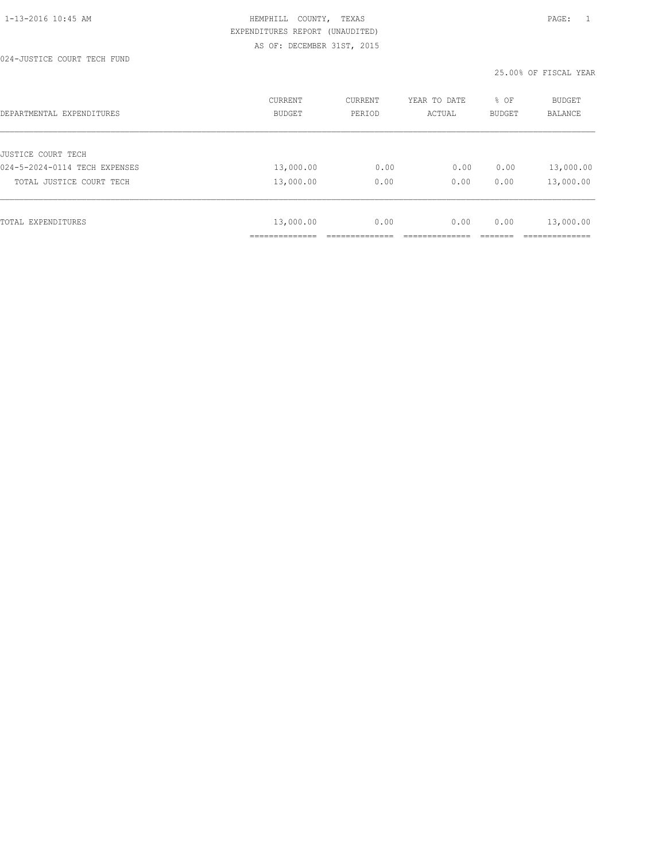024-JUSTICE COURT TECH FUND

| DEPARTMENTAL EXPENDITURES     | <b>CURRENT</b><br><b>BUDGET</b> | CURRENT<br>PERIOD | YEAR TO DATE<br>ACTUAL | % OF<br><b>BUDGET</b> | <b>BUDGET</b><br><b>BALANCE</b> |
|-------------------------------|---------------------------------|-------------------|------------------------|-----------------------|---------------------------------|
|                               |                                 |                   |                        |                       |                                 |
| JUSTICE COURT TECH            |                                 |                   |                        |                       |                                 |
| 024-5-2024-0114 TECH EXPENSES | 13,000.00                       | 0.00              | 0.00                   | 0.00                  | 13,000.00                       |
| TOTAL JUSTICE COURT TECH      | 13,000.00                       | 0.00              | 0.00                   | 0.00                  | 13,000.00                       |
|                               |                                 |                   |                        |                       |                                 |
| TOTAL EXPENDITURES            | 13,000.00                       | 0.00              | 0.00                   | 0.00                  | 13,000.00                       |
|                               | ----------                      |                   |                        |                       |                                 |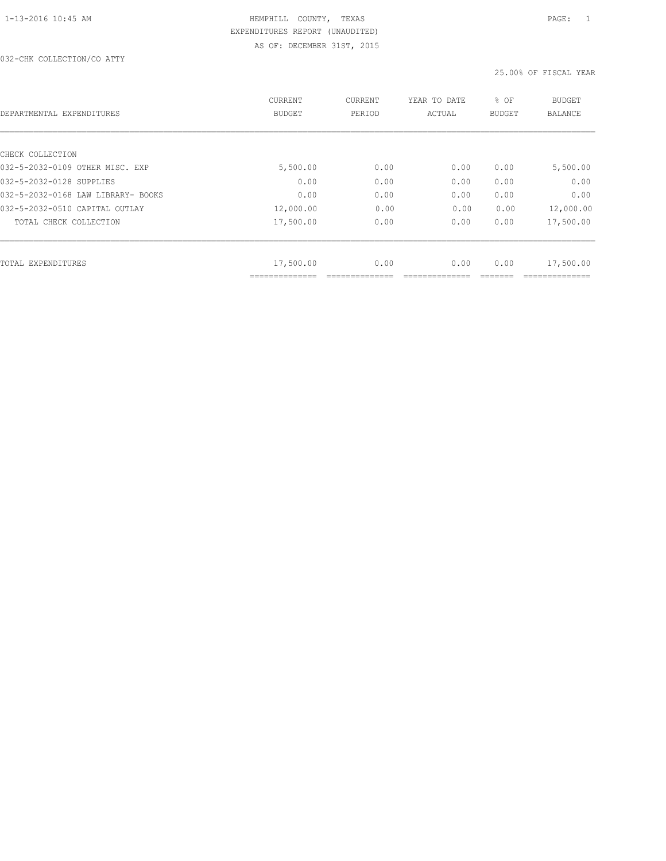032-CHK COLLECTION/CO ATTY

| DEPARTMENTAL EXPENDITURES          | CURRENT<br><b>BUDGET</b> | CURRENT<br>PERIOD | YEAR TO DATE<br>ACTUAL | % OF<br><b>BUDGET</b> | BUDGET<br><b>BALANCE</b> |
|------------------------------------|--------------------------|-------------------|------------------------|-----------------------|--------------------------|
| CHECK COLLECTION                   |                          |                   |                        |                       |                          |
| 032-5-2032-0109 OTHER MISC. EXP    | 5,500.00                 | 0.00              | 0.00                   | 0.00                  | 5,500.00                 |
| 032-5-2032-0128 SUPPLIES           | 0.00                     | 0.00              | 0.00                   | 0.00                  | 0.00                     |
| 032-5-2032-0168 LAW LIBRARY- BOOKS | 0.00                     | 0.00              | 0.00                   | 0.00                  | 0.00                     |
| 032-5-2032-0510 CAPITAL OUTLAY     | 12,000.00                | 0.00              | 0.00                   | 0.00                  | 12,000.00                |
| TOTAL CHECK COLLECTION             | 17,500.00                | 0.00              | 0.00                   | 0.00                  | 17,500.00                |
| TOTAL EXPENDITURES                 | 17,500.00                | 0.00              | 0.00                   | 0.00                  | 17,500.00                |
|                                    |                          |                   |                        |                       |                          |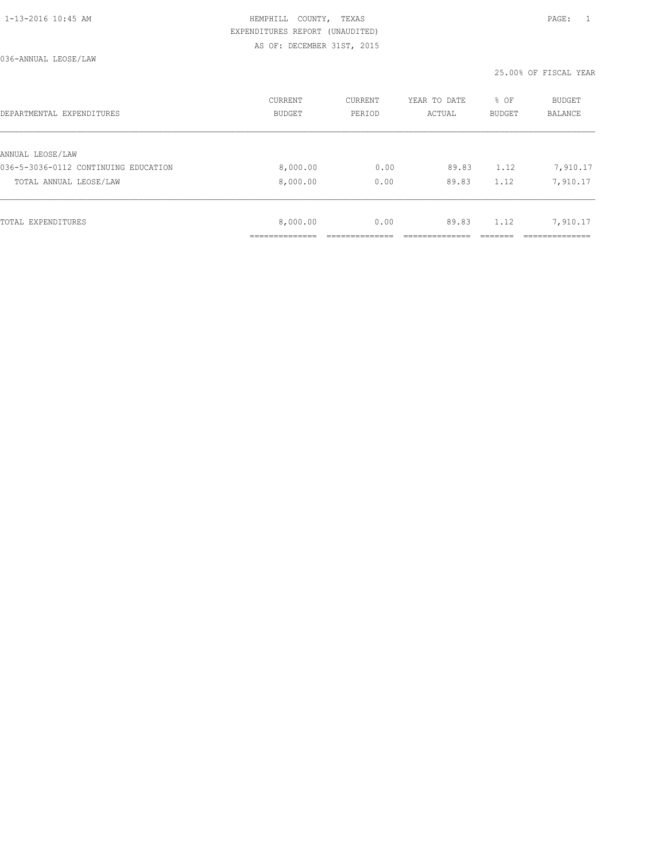| DEPARTMENTAL EXPENDITURES            | CURRENT<br>BUDGET | CURRENT<br>PERIOD | YEAR TO DATE<br>ACTUAL | % OF<br>BUDGET | BUDGET<br><b>BALANCE</b> |
|--------------------------------------|-------------------|-------------------|------------------------|----------------|--------------------------|
|                                      |                   |                   |                        |                |                          |
| ANNUAL LEOSE/LAW                     |                   |                   |                        |                |                          |
| 036-5-3036-0112 CONTINUING EDUCATION | 8,000.00          | 0.00              | 89.83                  | 1.12           | 7,910.17                 |
| TOTAL ANNUAL LEOSE/LAW               | 8,000.00          | 0.00              | 89.83                  | 1.12           | 7,910.17                 |
|                                      |                   |                   |                        |                |                          |
| TOTAL EXPENDITURES                   | 8,000.00          | 0.00              | 89.83                  | 1.12           | 7,910.17                 |
|                                      |                   |                   |                        |                |                          |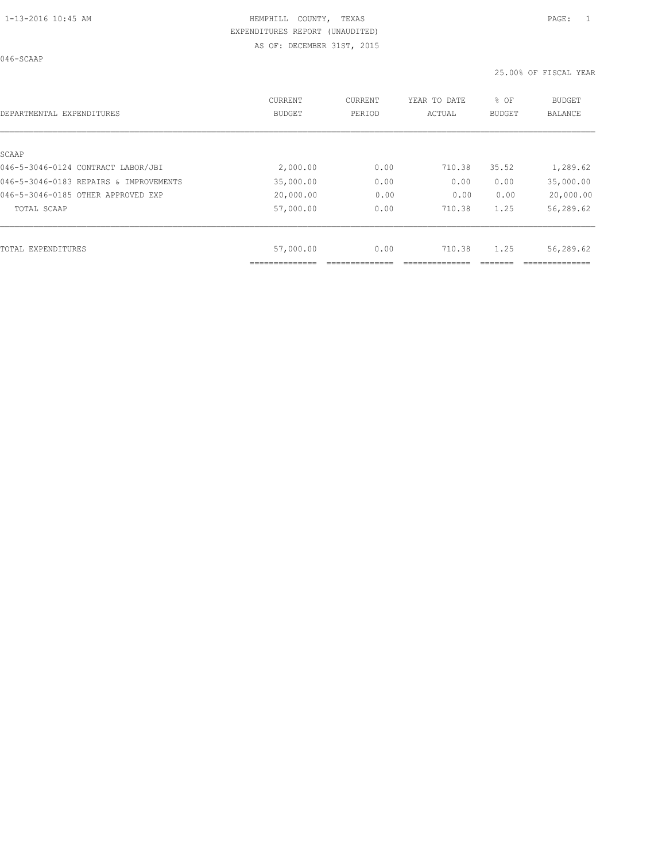046-SCAAP

| DEPARTMENTAL EXPENDITURES              | <b>CURRENT</b><br><b>BUDGET</b> | CURRENT<br>PERIOD | YEAR TO DATE<br>ACTUAL | % OF<br>BUDGET | <b>BUDGET</b><br><b>BALANCE</b> |
|----------------------------------------|---------------------------------|-------------------|------------------------|----------------|---------------------------------|
| SCAAP                                  |                                 |                   |                        |                |                                 |
| 046-5-3046-0124 CONTRACT LABOR/JBI     | 2,000.00                        | 0.00              | 710.38                 | 35.52          | 1,289.62                        |
| 046-5-3046-0183 REPAIRS & IMPROVEMENTS | 35,000.00                       | 0.00              | 0.00                   | 0.00           | 35,000.00                       |
| 046-5-3046-0185 OTHER APPROVED EXP     | 20,000.00                       | 0.00              | 0.00                   | 0.00           | 20,000.00                       |
| TOTAL SCAAP                            | 57,000.00                       | 0.00              | 710.38                 | 1.25           | 56,289.62                       |
|                                        |                                 |                   |                        |                |                                 |
| TOTAL EXPENDITURES                     | 57,000.00                       | 0.00              | 710.38                 | 1.25           | 56,289.62                       |
|                                        |                                 |                   |                        |                |                                 |